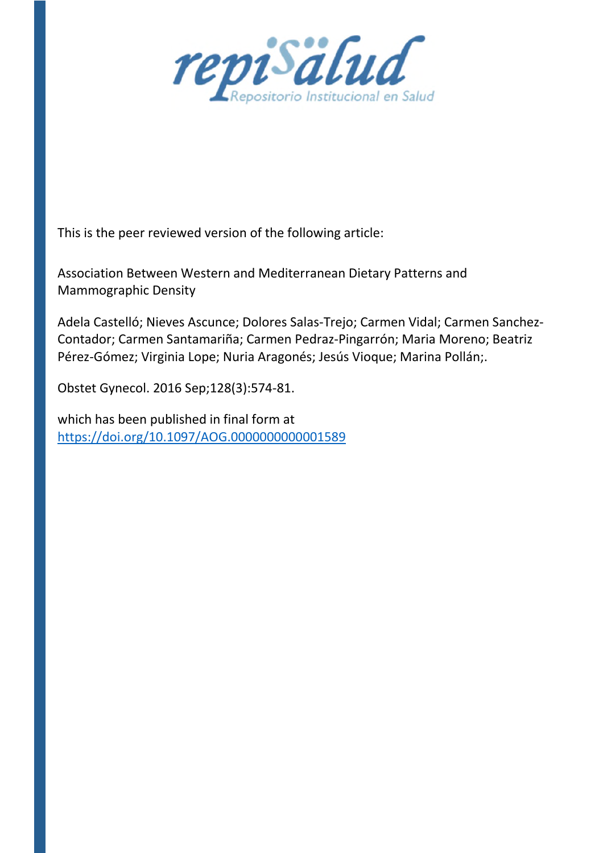

This is the peer reviewed version of the following article:

Association Between Western and Mediterranean Dietary Patterns and Mammographic Density

Adela Castelló; Nieves Ascunce; Dolores Salas-Trejo; Carmen Vidal; Carmen Sanchez-Contador; Carmen Santamariña; Carmen Pedraz-Pingarrón; Maria Moreno; Beatriz Pérez-Gómez; Virginia Lope; Nuria Aragonés; Jesús Vioque; Marina Pollán;.

Obstet Gynecol. 2016 Sep;128(3):574-81.

which has been published in final form at https://doi.org/10.1097/AOG.0000000000001589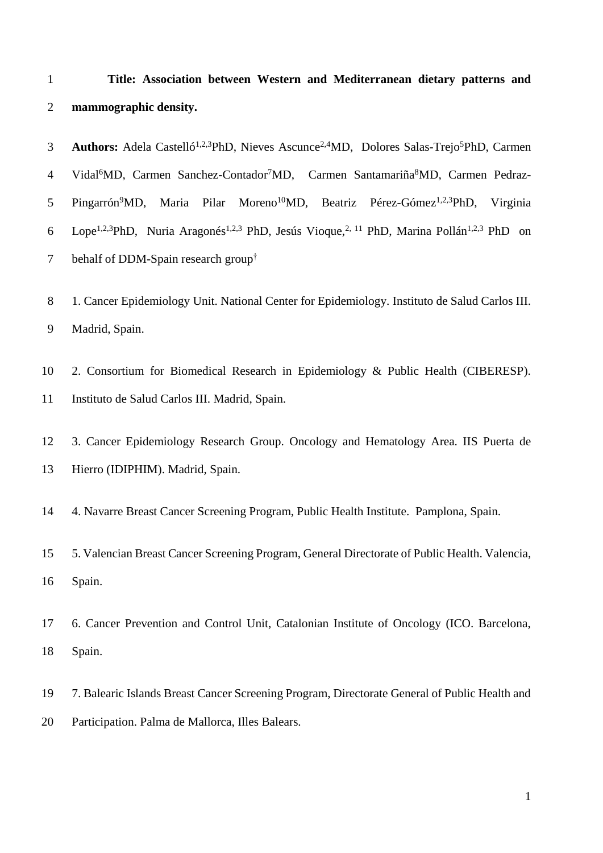|                       |  |  | Title: Association between Western and Mediterranean dietary patterns and |  |  |
|-----------------------|--|--|---------------------------------------------------------------------------|--|--|
| mammographic density. |  |  |                                                                           |  |  |

3 **Authors:** Adela Castelló<sup>1,2,3</sup>PhD, Nieves Ascunce<sup>2,4</sup>MD, Dolores Salas-Trejo<sup>5</sup>PhD, Carmen 4 Vidal<sup>6</sup>MD, Carmen Sanchez-Contador<sup>7</sup>MD, Carmen Santamariña MD, Carmen Pedraz-5 Pingarrón<sup>9</sup>MD, Maria Pilar Moreno<sup>10</sup>MD, Beatriz Pérez-Gómez<sup>1,2,3</sup>PhD, Virginia 6 Lope<sup>1,2,3</sup>PhD, Nuria Aragonés<sup>1,2,3</sup> PhD, Jesús Vioque,<sup>2, 11</sup> PhD, Marina Pollán<sup>1,2,3</sup> PhD on 7 behalf of DDM-Spain research group<sup>†</sup>

8 1. Cancer Epidemiology Unit. National Center for Epidemiology. Instituto de Salud Carlos III. Madrid, Spain.

 2. Consortium for Biomedical Research in Epidemiology & Public Health (CIBERESP). Instituto de Salud Carlos III. Madrid, Spain.

 3. Cancer Epidemiology Research Group. Oncology and Hematology Area. IIS Puerta de Hierro (IDIPHIM). Madrid, Spain.

4. Navarre Breast Cancer Screening Program, Public Health Institute. Pamplona, Spain.

 5. Valencian Breast Cancer Screening Program, General Directorate of Public Health. Valencia, Spain.

 6. Cancer Prevention and Control Unit, Catalonian Institute of Oncology (ICO. Barcelona, Spain.

 7. Balearic Islands Breast Cancer Screening Program, Directorate General of Public Health and Participation. Palma de Mallorca, Illes Balears.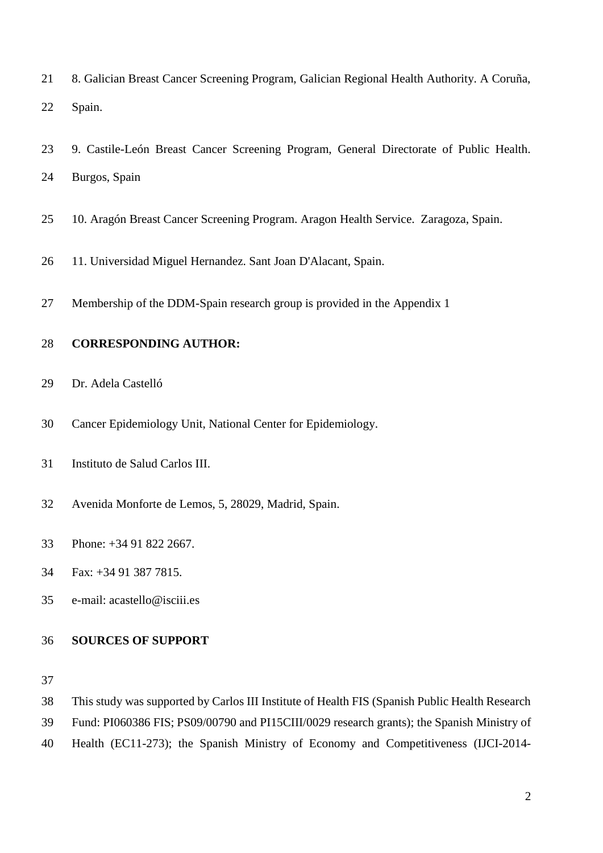- 8. Galician Breast Cancer Screening Program, Galician Regional Health Authority. A Coruña, Spain.
- 9. Castile-León Breast Cancer Screening Program, General Directorate of Public Health. Burgos, Spain
- 10. Aragón Breast Cancer Screening Program. Aragon Health Service. Zaragoza, Spain.
- 11. Universidad Miguel Hernandez. Sant Joan D'Alacant, Spain.
- Membership of the DDM-Spain research group is provided in the Appendix 1

#### **CORRESPONDING AUTHOR:**

- Dr. Adela Castelló
- Cancer Epidemiology Unit, National Center for Epidemiology.
- Instituto de Salud Carlos III.
- Avenida Monforte de Lemos, 5, 28029, Madrid, Spain.
- Phone: +34 91 822 2667.
- Fax: +34 91 387 7815.
- e-mail: acastello@isciii.es

### **SOURCES OF SUPPORT**

- This study was supported by Carlos III Institute of Health FIS (Spanish Public Health Research
- Fund: PI060386 FIS; PS09/00790 and PI15CIII/0029 research grants); the Spanish Ministry of
- Health (EC11-273); the Spanish Ministry of Economy and Competitiveness (IJCI-2014-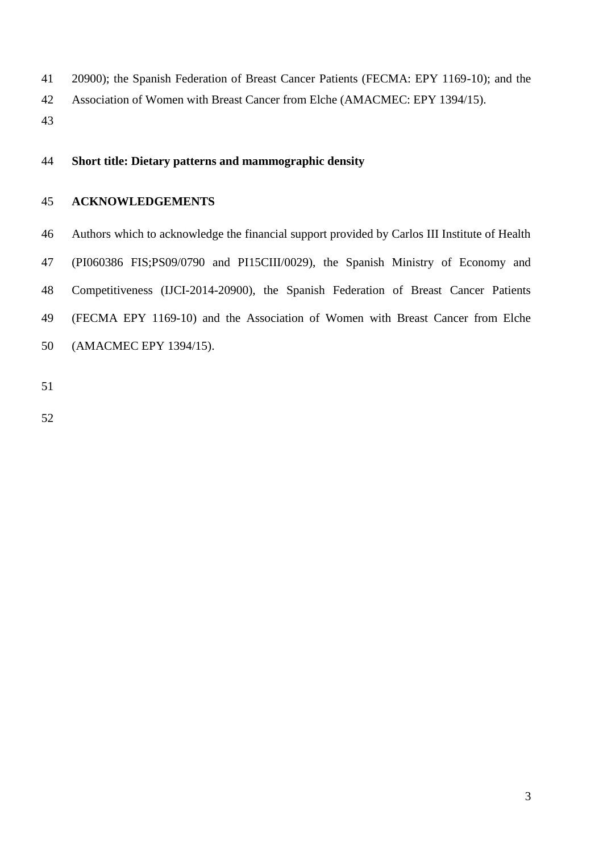20900); the Spanish Federation of Breast Cancer Patients (FECMA: EPY 1169-10); and the

- Association of Women with Breast Cancer from Elche (AMACMEC: EPY 1394/15).
- 

### **Short title: Dietary patterns and mammographic density**

### **ACKNOWLEDGEMENTS**

 Authors which to acknowledge the financial support provided by Carlos III Institute of Health (PI060386 FIS;PS09/0790 and PI15CIII/0029), the Spanish Ministry of Economy and Competitiveness (IJCI-2014-20900), the Spanish Federation of Breast Cancer Patients (FECMA EPY 1169-10) and the Association of Women with Breast Cancer from Elche (AMACMEC EPY 1394/15).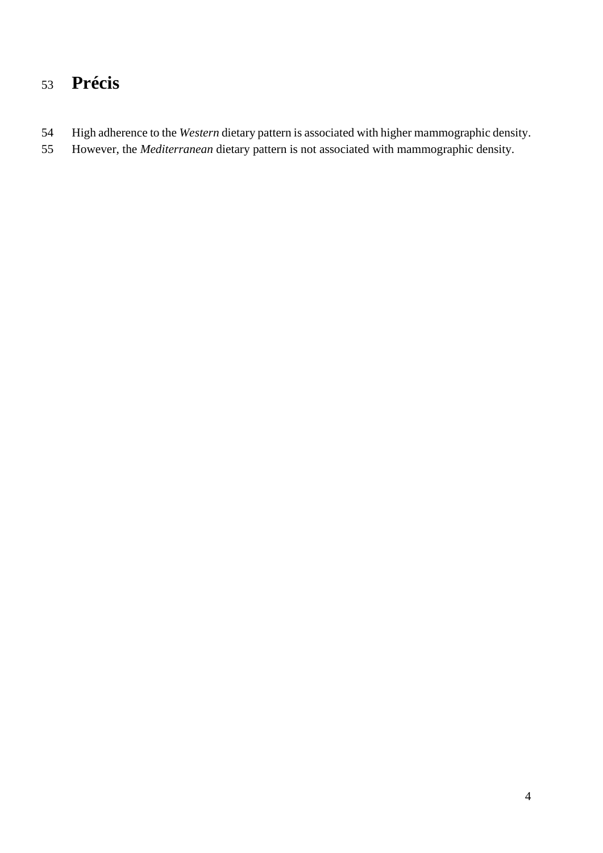# **Précis**

- High adherence to the *Western* dietary pattern is associated with higher mammographic density.
- However, the *Mediterranean* dietary pattern is not associated with mammographic density.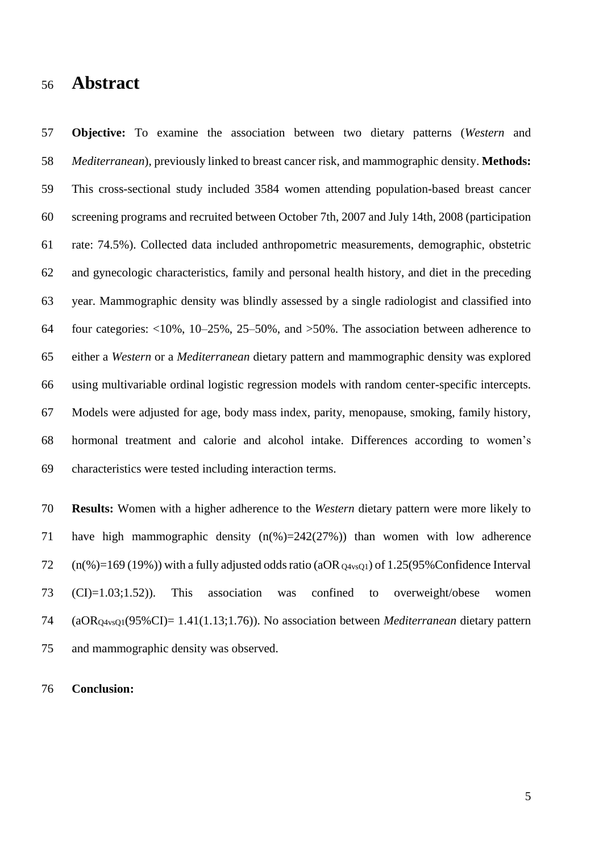### **Abstract**

 **Objective:** To examine the association between two dietary patterns (*Western* and *Mediterranean*), previously linked to breast cancer risk, and mammographic density. **Methods:**  This cross-sectional study included 3584 women attending population-based breast cancer screening programs and recruited between October 7th, 2007 and July 14th, 2008 (participation rate: 74.5%). Collected data included anthropometric measurements, demographic, obstetric and gynecologic characteristics, family and personal health history, and diet in the preceding year. Mammographic density was blindly assessed by a single radiologist and classified into four categories: <10%, 10–25%, 25–50%, and >50%. The association between adherence to either a *Western* or a *Mediterranean* dietary pattern and mammographic density was explored using multivariable ordinal logistic regression models with random center-specific intercepts. Models were adjusted for age, body mass index, parity, menopause, smoking, family history, hormonal treatment and calorie and alcohol intake. Differences according to women's characteristics were tested including interaction terms.

 **Results:** Women with a higher adherence to the *Western* dietary pattern were more likely to have high mammographic density (n(%)=242(27%)) than women with low adherence  $72 \quad (n\%) = 169 (19\%)$  with a fully adjusted odds ratio (aOR  $_{Q4\text{vsO1}}$ ) of 1.25(95% Confidence Interval (CI)=1.03;1.52)). This association was confined to overweight/obese women (aORQ4vsQ1(95%CI)= 1.41(1.13;1.76)). No association between *Mediterranean* dietary pattern and mammographic density was observed.

#### **Conclusion:**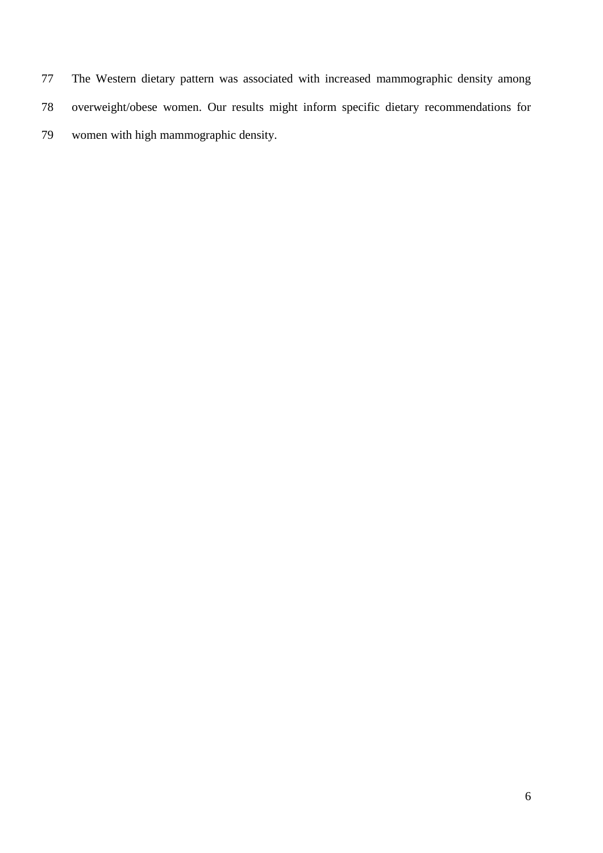The Western dietary pattern was associated with increased mammographic density among overweight/obese women. Our results might inform specific dietary recommendations for women with high mammographic density.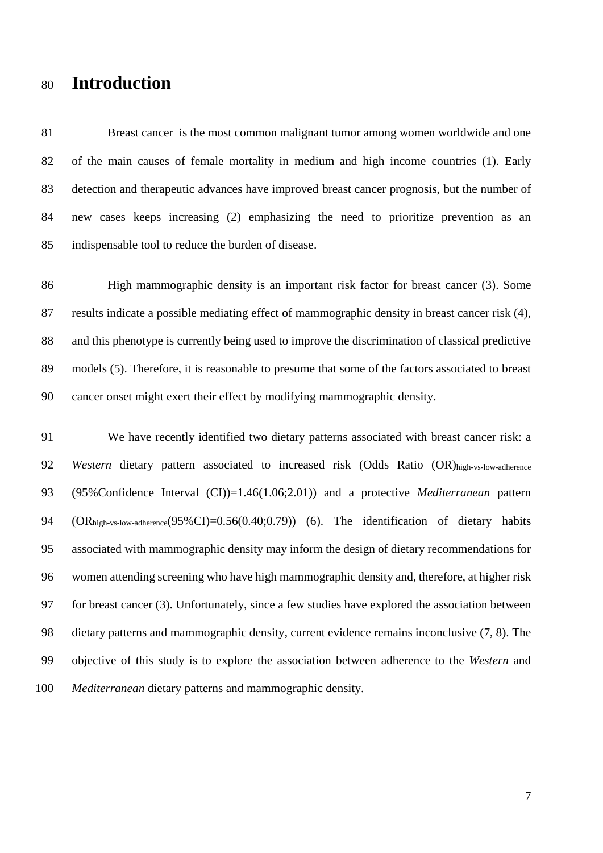# **Introduction**

 Breast cancer is the most common malignant tumor among women worldwide and one of the main causes of female mortality in medium and high income countries [\(1\)](#page-15-0). Early detection and therapeutic advances have improved breast cancer prognosis, but the number of new cases keeps increasing [\(2\)](#page-15-1) emphasizing the need to prioritize prevention as an indispensable tool to reduce the burden of disease.

 High mammographic density is an important risk factor for breast cancer [\(3\)](#page-15-2). Some results indicate a possible mediating effect of mammographic density in breast cancer risk [\(4\)](#page-15-3), and this phenotype is currently being used to improve the discrimination of classical predictive models [\(5\)](#page-16-0). Therefore, it is reasonable to presume that some of the factors associated to breast cancer onset might exert their effect by modifying mammographic density.

 We have recently identified two dietary patterns associated with breast cancer risk: a *Western* dietary pattern associated to increased risk (Odds Ratio (OR)high-vs-low-adherence (95%Confidence Interval (CI))=1.46(1.06;2.01)) and a protective *Mediterranean* pattern (ORhigh-vs-low-adherence(95%CI)=0.56(0.40;0.79)) [\(6\)](#page-16-1). The identification of dietary habits associated with mammographic density may inform the design of dietary recommendations for women attending screening who have high mammographic density and, therefore, at higher risk for breast cancer [\(3\)](#page-15-2). Unfortunately, since a few studies have explored the association between dietary patterns and mammographic density, current evidence remains inconclusive [\(7,](#page-16-2) [8\)](#page-16-3). The objective of this study is to explore the association between adherence to the *Western* and *Mediterranean* dietary patterns and mammographic density.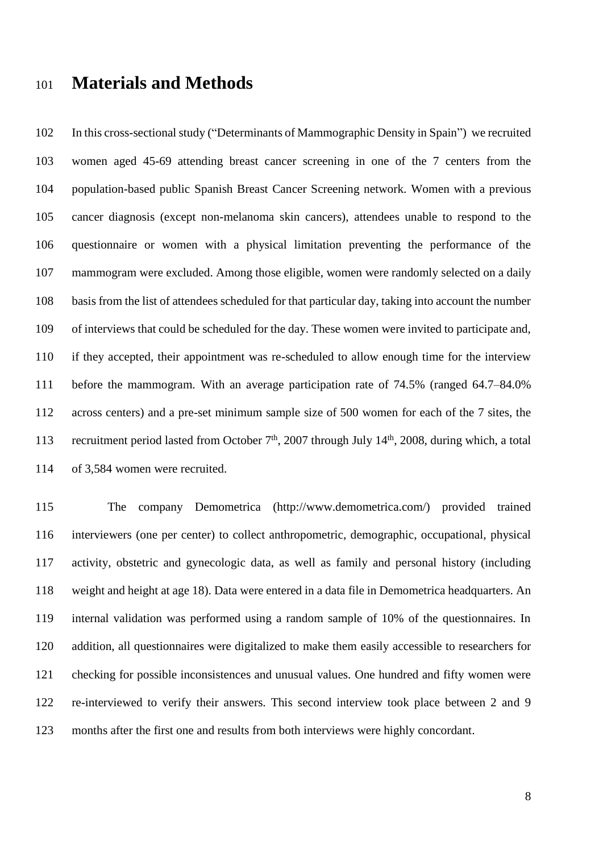## **Materials and Methods**

 In this cross-sectional study ("Determinants of Mammographic Density in Spain") we recruited women aged 45-69 attending breast cancer screening in one of the 7 centers from the population-based public Spanish Breast Cancer Screening network. Women with a previous cancer diagnosis (except non-melanoma skin cancers), attendees unable to respond to the questionnaire or women with a physical limitation preventing the performance of the mammogram were excluded. Among those eligible, women were randomly selected on a daily basis from the list of attendees scheduled for that particular day, taking into account the number of interviews that could be scheduled for the day. These women were invited to participate and, if they accepted, their appointment was re-scheduled to allow enough time for the interview before the mammogram. With an average participation rate of 74.5% (ranged 64.7–84.0% across centers) and a pre-set minimum sample size of 500 women for each of the 7 sites, the 113 recruitment period lasted from October  $7<sup>th</sup>$ , 2007 through July 14<sup>th</sup>, 2008, during which, a total of 3,584 women were recruited.

 The company Demometrica (http://www.demometrica.com/) provided trained interviewers (one per center) to collect anthropometric, demographic, occupational, physical activity, obstetric and gynecologic data, as well as family and personal history (including weight and height at age 18). Data were entered in a data file in Demometrica headquarters. An internal validation was performed using a random sample of 10% of the questionnaires. In addition, all questionnaires were digitalized to make them easily accessible to researchers for checking for possible inconsistences and unusual values. One hundred and fifty women were re-interviewed to verify their answers. This second interview took place between 2 and 9 months after the first one and results from both interviews were highly concordant.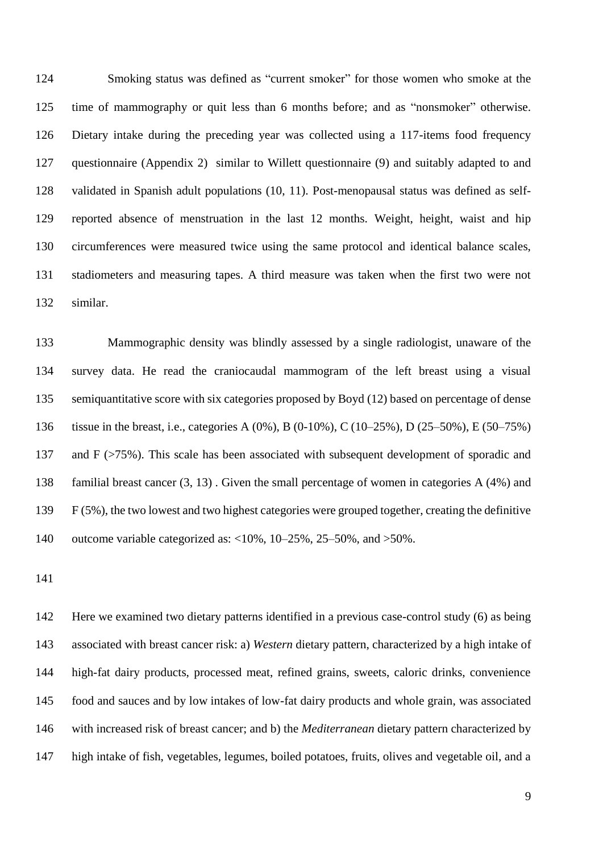Smoking status was defined as "current smoker" for those women who smoke at the time of mammography or quit less than 6 months before; and as "nonsmoker" otherwise. Dietary intake during the preceding year was collected using a 117-items food frequency questionnaire (Appendix 2) similar to Willett questionnaire [\(9\)](#page-16-4) and suitably adapted to and validated in Spanish adult populations [\(10,](#page-16-5) [11\)](#page-16-6). Post-menopausal status was defined as self- reported absence of menstruation in the last 12 months. Weight, height, waist and hip circumferences were measured twice using the same protocol and identical balance scales, stadiometers and measuring tapes. A third measure was taken when the first two were not similar.

 Mammographic density was blindly assessed by a single radiologist, unaware of the survey data. He read the craniocaudal mammogram of the left breast using a visual semiquantitative score with six categories proposed by Boyd [\(12\)](#page-16-7) based on percentage of dense tissue in the breast, i.e., categories A (0%), B (0-10%), C (10–25%), D (25–50%), E (50–75%) and F (>75%). This scale has been associated with subsequent development of sporadic and familial breast cancer [\(3,](#page-15-2) [13\)](#page-16-8) . Given the small percentage of women in categories A (4%) and F (5%), the two lowest and two highest categories were grouped together, creating the definitive outcome variable categorized as: <10%, 10–25%, 25–50%, and >50%.

 Here we examined two dietary patterns identified in a previous case-control study [\(6\)](#page-16-1) as being associated with breast cancer risk: a) *Western* dietary pattern, characterized by a high intake of high-fat dairy products, processed meat, refined grains, sweets, caloric drinks, convenience food and sauces and by low intakes of low-fat dairy products and whole grain, was associated with increased risk of breast cancer; and b) the *Mediterranean* dietary pattern characterized by high intake of fish, vegetables, legumes, boiled potatoes, fruits, olives and vegetable oil, and a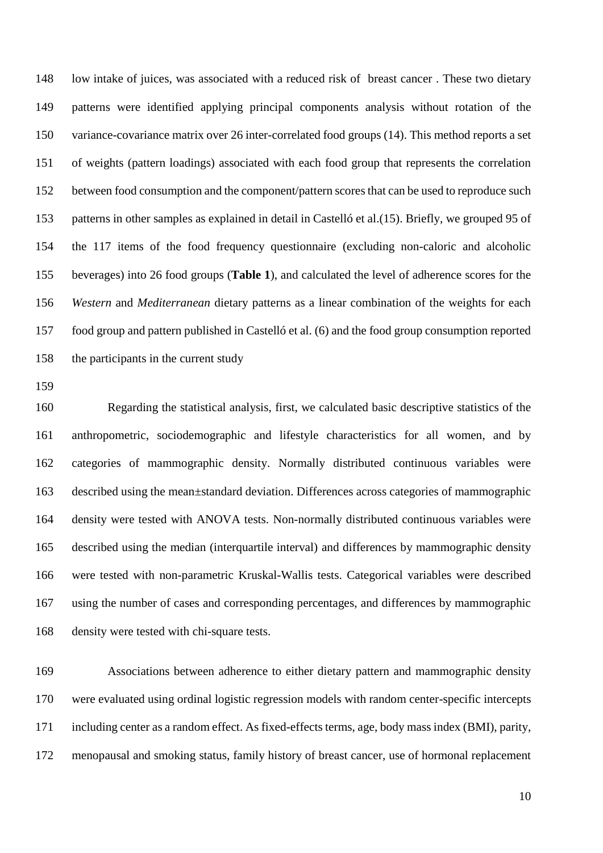low intake of juices, was associated with a reduced risk of breast cancer . These two dietary patterns were identified applying principal components analysis without rotation of the variance-covariance matrix over 26 inter-correlated food groups [\(14\)](#page-16-9). This method reports a set of weights (pattern loadings) associated with each food group that represents the correlation between food consumption and the component/pattern scoresthat can be used to reproduce such patterns in other samples as explained in detail in Castelló et al.[\(15\)](#page-16-10). Briefly, we grouped 95 of the 117 items of the food frequency questionnaire (excluding non-caloric and alcoholic beverages) into 26 food groups (**Table 1**), and calculated the level of adherence scores for the *Western* and *Mediterranean* dietary patterns as a linear combination of the weights for each food group and pattern published in Castelló et al. [\(6\)](#page-16-1) and the food group consumption reported the participants in the current study

 Regarding the statistical analysis, first, we calculated basic descriptive statistics of the anthropometric, sociodemographic and lifestyle characteristics for all women, and by categories of mammographic density. Normally distributed continuous variables were described using the mean±standard deviation. Differences across categories of mammographic density were tested with ANOVA tests. Non-normally distributed continuous variables were described using the median (interquartile interval) and differences by mammographic density were tested with non-parametric Kruskal-Wallis tests. Categorical variables were described using the number of cases and corresponding percentages, and differences by mammographic density were tested with chi-square tests.

 Associations between adherence to either dietary pattern and mammographic density were evaluated using ordinal logistic regression models with random center-specific intercepts including center as a random effect. As fixed-effects terms, age, body mass index (BMI), parity, menopausal and smoking status, family history of breast cancer, use of hormonal replacement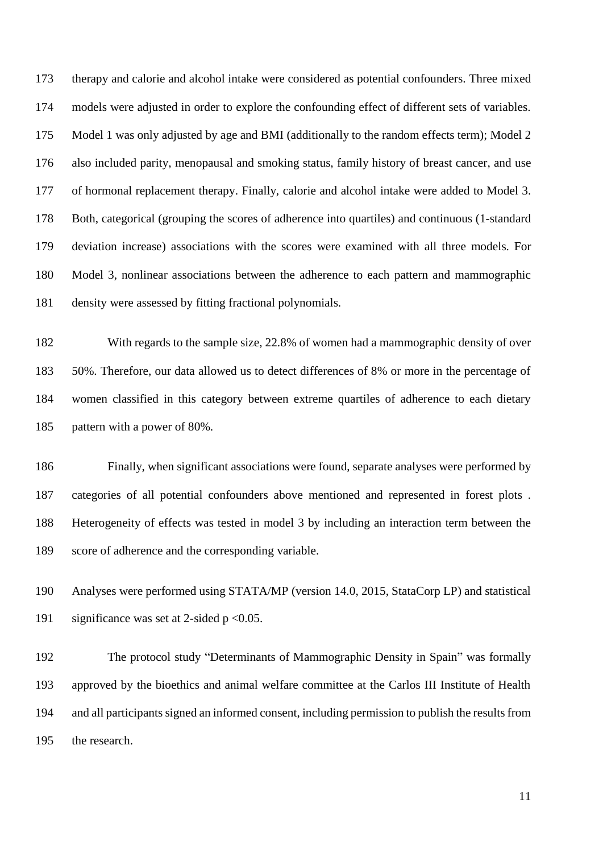therapy and calorie and alcohol intake were considered as potential confounders. Three mixed models were adjusted in order to explore the confounding effect of different sets of variables. Model 1 was only adjusted by age and BMI (additionally to the random effects term); Model 2 also included parity, menopausal and smoking status, family history of breast cancer, and use of hormonal replacement therapy. Finally, calorie and alcohol intake were added to Model 3. Both, categorical (grouping the scores of adherence into quartiles) and continuous (1-standard deviation increase) associations with the scores were examined with all three models. For Model 3, nonlinear associations between the adherence to each pattern and mammographic density were assessed by fitting fractional polynomials.

 With regards to the sample size, 22.8% of women had a mammographic density of over 50%. Therefore, our data allowed us to detect differences of 8% or more in the percentage of women classified in this category between extreme quartiles of adherence to each dietary pattern with a power of 80%.

 Finally, when significant associations were found, separate analyses were performed by categories of all potential confounders above mentioned and represented in forest plots . Heterogeneity of effects was tested in model 3 by including an interaction term between the score of adherence and the corresponding variable.

 Analyses were performed using STATA/MP (version 14.0, 2015, StataCorp LP) and statistical 191 significance was set at 2-sided  $p < 0.05$ .

 The protocol study "Determinants of Mammographic Density in Spain" was formally approved by the bioethics and animal welfare committee at the Carlos III Institute of Health and all participants signed an informed consent, including permission to publish the results from the research.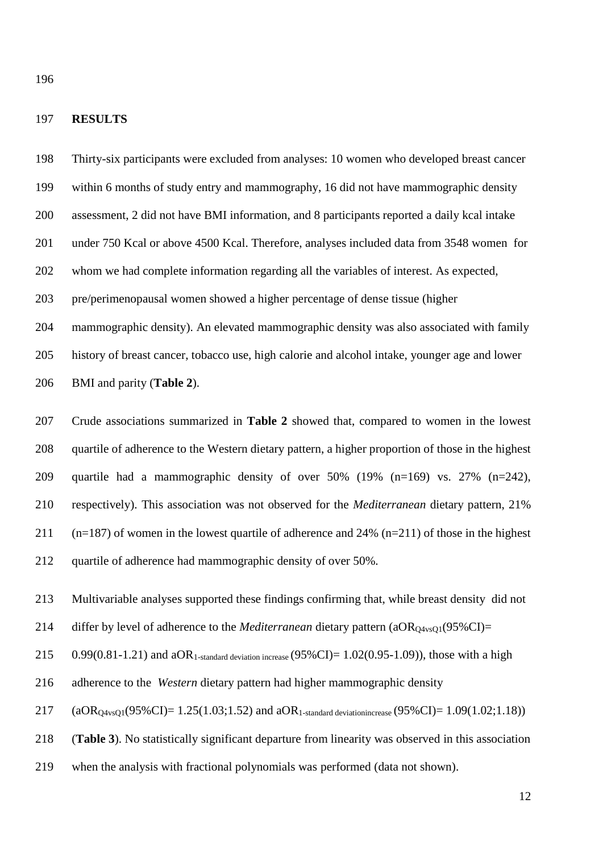#### **RESULTS**

 Thirty-six participants were excluded from analyses: 10 women who developed breast cancer within 6 months of study entry and mammography, 16 did not have mammographic density assessment, 2 did not have BMI information, and 8 participants reported a daily kcal intake under 750 Kcal or above 4500 Kcal. Therefore, analyses included data from 3548 women for whom we had complete information regarding all the variables of interest. As expected, pre/perimenopausal women showed a higher percentage of dense tissue (higher mammographic density). An elevated mammographic density was also associated with family history of breast cancer, tobacco use, high calorie and alcohol intake, younger age and lower BMI and parity (**Table 2**).

 Crude associations summarized in **Table 2** showed that, compared to women in the lowest quartile of adherence to the Western dietary pattern, a higher proportion of those in the highest quartile had a mammographic density of over 50% (19% (n=169) vs. 27% (n=242), respectively). This association was not observed for the *Mediterranean* dietary pattern, 21% 211 (n=187) of women in the lowest quartile of adherence and 24% (n=211) of those in the highest quartile of adherence had mammographic density of over 50%.

Multivariable analyses supported these findings confirming that, while breast density did not

214 differ by level of adherence to the *Mediterranean* dietary pattern  $(aOR<sub>O4vsO1</sub>(95\%CI)$ =

215 0.99(0.81-1.21) and aOR<sub>1-standard deviation increase</sub> (95%CI)=  $1.02(0.95-1.09)$ ), those with a high

adherence to the *Western* dietary pattern had higher mammographic density

217 (aOR<sub>Q4vsQ1</sub>(95%CI)= 1.25(1.03;1.52) and aOR<sub>1-standard deviationincrease</sub> (95%CI)= 1.09(1.02;1.18))

(**Table 3**). No statistically significant departure from linearity was observed in this association

when the analysis with fractional polynomials was performed (data not shown).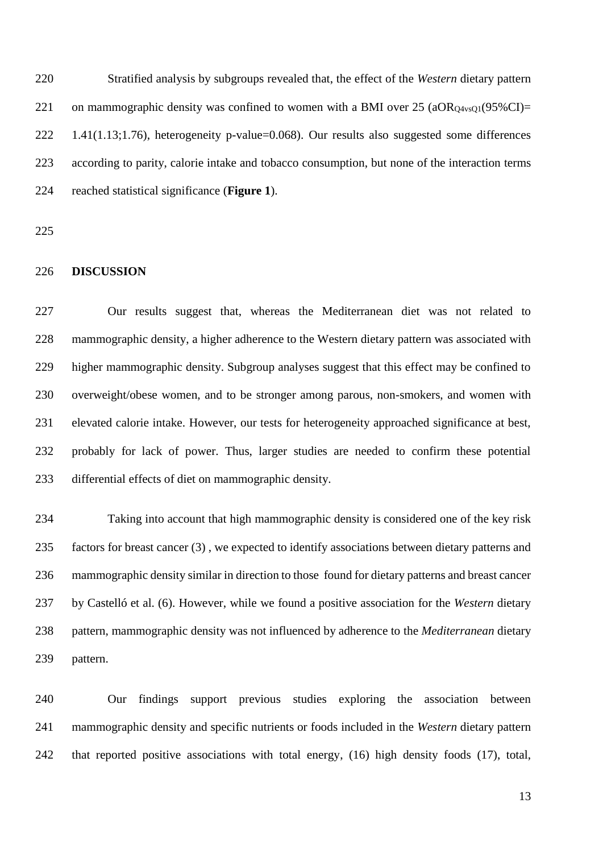Stratified analysis by subgroups revealed that, the effect of the *Western* dietary pattern 221 on mammographic density was confined to women with a BMI over 25 ( $aOR<sub>O4v</sub><sub>801</sub>(95%CI) =$  1.41(1.13;1.76), heterogeneity p-value=0.068). Our results also suggested some differences according to parity, calorie intake and tobacco consumption, but none of the interaction terms reached statistical significance (**Figure 1**).

#### **DISCUSSION**

 Our results suggest that, whereas the Mediterranean diet was not related to mammographic density, a higher adherence to the Western dietary pattern was associated with higher mammographic density. Subgroup analyses suggest that this effect may be confined to overweight/obese women, and to be stronger among parous, non-smokers, and women with elevated calorie intake. However, our tests for heterogeneity approached significance at best, probably for lack of power. Thus, larger studies are needed to confirm these potential differential effects of diet on mammographic density.

 Taking into account that high mammographic density is considered one of the key risk factors for breast cancer [\(3\)](#page-15-2) , we expected to identify associations between dietary patterns and mammographic density similar in direction to those found for dietary patterns and breast cancer by Castelló et al. [\(6\)](#page-16-1). However, while we found a positive association for the *Western* dietary pattern, mammographic density was not influenced by adherence to the *Mediterranean* dietary pattern.

 Our findings support previous studies exploring the association between mammographic density and specific nutrients or foods included in the *Western* dietary pattern that reported positive associations with total energy, [\(16\)](#page-16-11) high density foods [\(17\)](#page-16-12), total,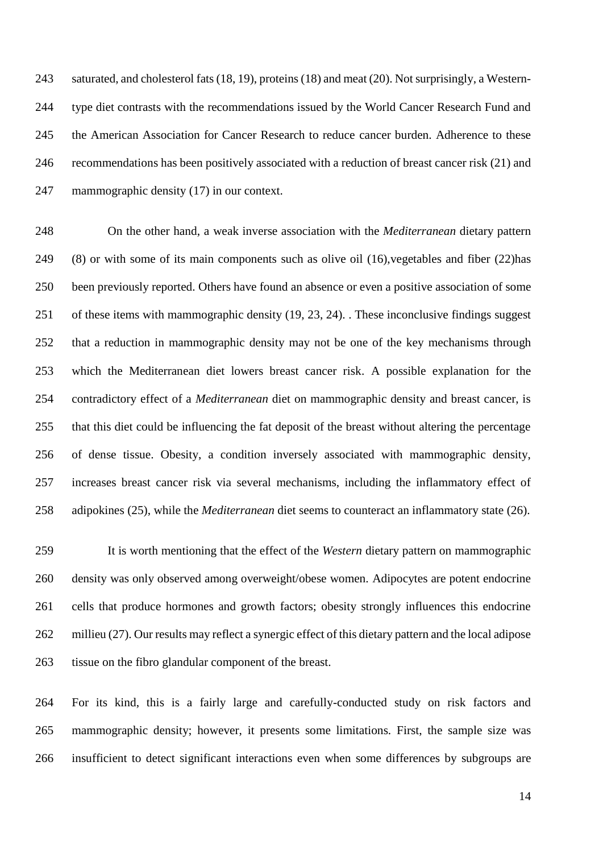saturated, and cholesterol fats [\(18,](#page-16-13) [19\)](#page-16-14), proteins [\(18\)](#page-16-13) and meat [\(20\)](#page-17-0). Not surprisingly, a Western- type diet contrasts with the recommendations issued by the World Cancer Research Fund and the American Association for Cancer Research to reduce cancer burden. Adherence to these recommendations has been positively associated with a reduction of breast cancer risk [\(21\)](#page-17-1) and mammographic density [\(17\)](#page-16-12) in our context.

 On the other hand, a weak inverse association with the *Mediterranean* dietary pattern [\(8\)](#page-16-3) or with some of its main components such as olive oil [\(16\)](#page-16-11),vegetables and fiber [\(22\)](#page-17-2)has been previously reported. Others have found an absence or even a positive association of some of these items with mammographic density [\(19,](#page-16-14) [23,](#page-17-3) [24\)](#page-17-4). . These inconclusive findings suggest that a reduction in mammographic density may not be one of the key mechanisms through which the Mediterranean diet lowers breast cancer risk. A possible explanation for the contradictory effect of a *Mediterranean* diet on mammographic density and breast cancer, is that this diet could be influencing the fat deposit of the breast without altering the percentage of dense tissue. Obesity, a condition inversely associated with mammographic density, increases breast cancer risk via several mechanisms, including the inflammatory effect of adipokines [\(25\)](#page-17-5), while the *Mediterranean* diet seems to counteract an inflammatory state [\(26\)](#page-17-6).

 It is worth mentioning that the effect of the *Western* dietary pattern on mammographic density was only observed among overweight/obese women. Adipocytes are potent endocrine cells that produce hormones and growth factors; obesity strongly influences this endocrine millieu [\(27\)](#page-17-7). Our results may reflect a synergic effect of this dietary pattern and the local adipose tissue on the fibro glandular component of the breast.

 For its kind, this is a fairly large and carefully-conducted study on risk factors and mammographic density; however, it presents some limitations. First, the sample size was insufficient to detect significant interactions even when some differences by subgroups are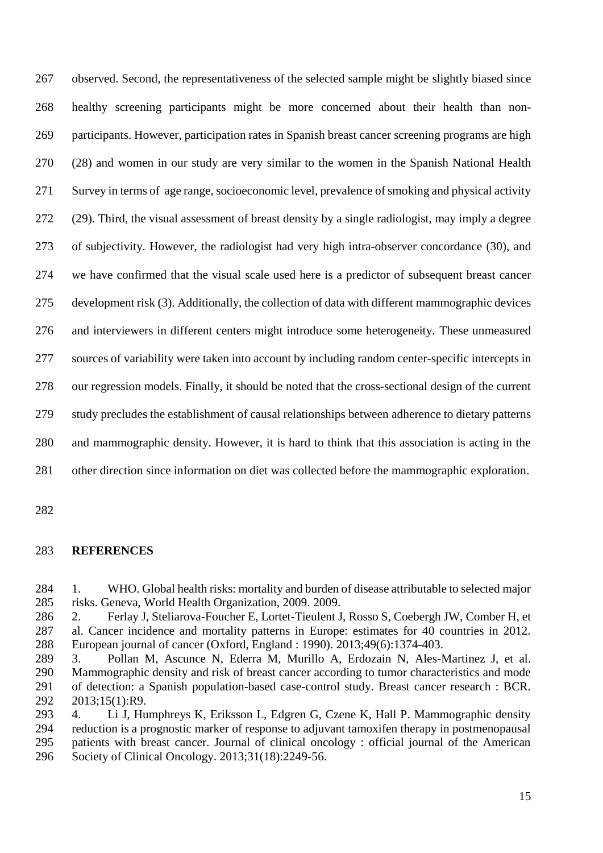observed. Second, the representativeness of the selected sample might be slightly biased since healthy screening participants might be more concerned about their health than non- participants. However, participation rates in Spanish breast cancer screening programs are high [\(28\)](#page-17-8) and women in our study are very similar to the women in the Spanish National Health Survey in terms of age range, socioeconomic level, prevalence of smoking and physical activity [\(29\)](#page-17-9). Third, the visual assessment of breast density by a single radiologist, may imply a degree of subjectivity. However, the radiologist had very high intra-observer concordance [\(30\)](#page-17-10), and we have confirmed that the visual scale used here is a predictor of subsequent breast cancer development risk [\(3\)](#page-15-2). Additionally, the collection of data with different mammographic devices and interviewers in different centers might introduce some heterogeneity. These unmeasured sources of variability were taken into account by including random center-specific intercepts in our regression models. Finally, it should be noted that the cross-sectional design of the current study precludes the establishment of causal relationships between adherence to dietary patterns and mammographic density. However, it is hard to think that this association is acting in the other direction since information on diet was collected before the mammographic exploration.

#### **REFERENCES**

<span id="page-15-0"></span> 1. WHO. Global health risks: mortality and burden of disease attributable to selected major risks. Geneva, World Health Organization, 2009. 2009.

<span id="page-15-1"></span> 2. Ferlay J, Steliarova-Foucher E, Lortet-Tieulent J, Rosso S, Coebergh JW, Comber H, et al. Cancer incidence and mortality patterns in Europe: estimates for 40 countries in 2012. European journal of cancer (Oxford, England : 1990). 2013;49(6):1374-403.

<span id="page-15-2"></span> 3. Pollan M, Ascunce N, Ederra M, Murillo A, Erdozain N, Ales-Martinez J, et al. Mammographic density and risk of breast cancer according to tumor characteristics and mode of detection: a Spanish population-based case-control study. Breast cancer research : BCR. 2013;15(1):R9.

<span id="page-15-3"></span> 4. Li J, Humphreys K, Eriksson L, Edgren G, Czene K, Hall P. Mammographic density reduction is a prognostic marker of response to adjuvant tamoxifen therapy in postmenopausal patients with breast cancer. Journal of clinical oncology : official journal of the American Society of Clinical Oncology. 2013;31(18):2249-56.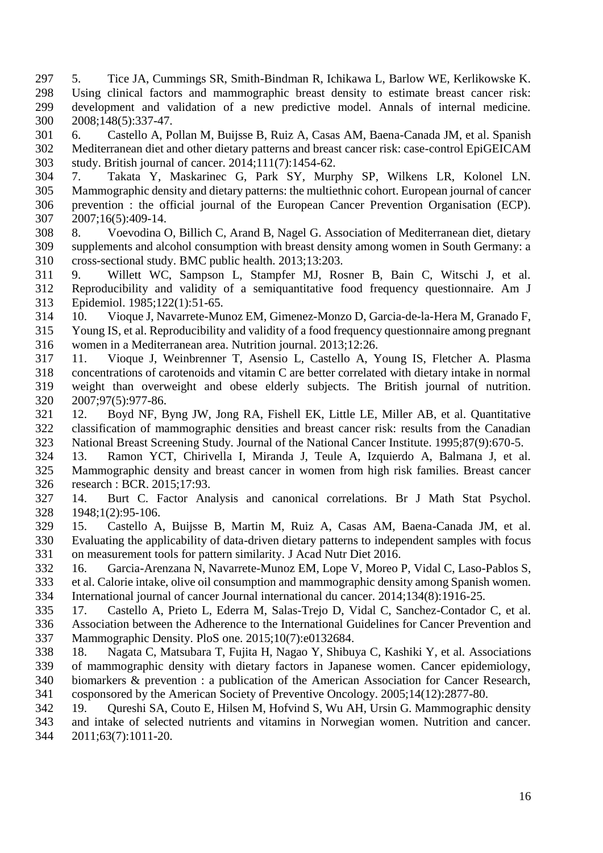- <span id="page-16-0"></span> 5. Tice JA, Cummings SR, Smith-Bindman R, Ichikawa L, Barlow WE, Kerlikowske K. Using clinical factors and mammographic breast density to estimate breast cancer risk: development and validation of a new predictive model. Annals of internal medicine. 2008;148(5):337-47.
- <span id="page-16-1"></span> 6. Castello A, Pollan M, Buijsse B, Ruiz A, Casas AM, Baena-Canada JM, et al. Spanish Mediterranean diet and other dietary patterns and breast cancer risk: case-control EpiGEICAM study. British journal of cancer. 2014;111(7):1454-62.
- <span id="page-16-15"></span><span id="page-16-2"></span> 7. Takata Y, Maskarinec G, Park SY, Murphy SP, Wilkens LR, Kolonel LN. Mammographic density and dietary patterns: the multiethnic cohort. European journal of cancer prevention : the official journal of the European Cancer Prevention Organisation (ECP). 2007;16(5):409-14.
- <span id="page-16-3"></span> 8. Voevodina O, Billich C, Arand B, Nagel G. Association of Mediterranean diet, dietary supplements and alcohol consumption with breast density among women in South Germany: a cross-sectional study. BMC public health. 2013;13:203.
- <span id="page-16-4"></span> 9. Willett WC, Sampson L, Stampfer MJ, Rosner B, Bain C, Witschi J, et al. Reproducibility and validity of a semiquantitative food frequency questionnaire. Am J Epidemiol. 1985;122(1):51-65.
- <span id="page-16-5"></span> 10. Vioque J, Navarrete-Munoz EM, Gimenez-Monzo D, Garcia-de-la-Hera M, Granado F, Young IS, et al. Reproducibility and validity of a food frequency questionnaire among pregnant women in a Mediterranean area. Nutrition journal. 2013;12:26.
- <span id="page-16-6"></span> 11. Vioque J, Weinbrenner T, Asensio L, Castello A, Young IS, Fletcher A. Plasma concentrations of carotenoids and vitamin C are better correlated with dietary intake in normal weight than overweight and obese elderly subjects. The British journal of nutrition. 2007;97(5):977-86.
- <span id="page-16-7"></span> 12. Boyd NF, Byng JW, Jong RA, Fishell EK, Little LE, Miller AB, et al. Quantitative classification of mammographic densities and breast cancer risk: results from the Canadian National Breast Screening Study. Journal of the National Cancer Institute. 1995;87(9):670-5.
- <span id="page-16-8"></span> 13. Ramon YCT, Chirivella I, Miranda J, Teule A, Izquierdo A, Balmana J, et al. Mammographic density and breast cancer in women from high risk families. Breast cancer research : BCR. 2015;17:93.
- <span id="page-16-9"></span> 14. Burt C. Factor Analysis and canonical correlations. Br J Math Stat Psychol. 1948;1(2):95-106.
- <span id="page-16-10"></span> 15. Castello A, Buijsse B, Martin M, Ruiz A, Casas AM, Baena-Canada JM, et al. Evaluating the applicability of data-driven dietary patterns to independent samples with focus on measurement tools for pattern similarity. J Acad Nutr Diet 2016.
- <span id="page-16-11"></span> 16. Garcia-Arenzana N, Navarrete-Munoz EM, Lope V, Moreo P, Vidal C, Laso-Pablos S, et al. Calorie intake, olive oil consumption and mammographic density among Spanish women. International journal of cancer Journal international du cancer. 2014;134(8):1916-25.
- <span id="page-16-12"></span> 17. Castello A, Prieto L, Ederra M, Salas-Trejo D, Vidal C, Sanchez-Contador C, et al. Association between the Adherence to the International Guidelines for Cancer Prevention and Mammographic Density. PloS one. 2015;10(7):e0132684.
- <span id="page-16-13"></span> 18. Nagata C, Matsubara T, Fujita H, Nagao Y, Shibuya C, Kashiki Y, et al. Associations of mammographic density with dietary factors in Japanese women. Cancer epidemiology, biomarkers & prevention : a publication of the American Association for Cancer Research, cosponsored by the American Society of Preventive Oncology. 2005;14(12):2877-80.
- <span id="page-16-14"></span> 19. Qureshi SA, Couto E, Hilsen M, Hofvind S, Wu AH, Ursin G. Mammographic density and intake of selected nutrients and vitamins in Norwegian women. Nutrition and cancer. 2011;63(7):1011-20.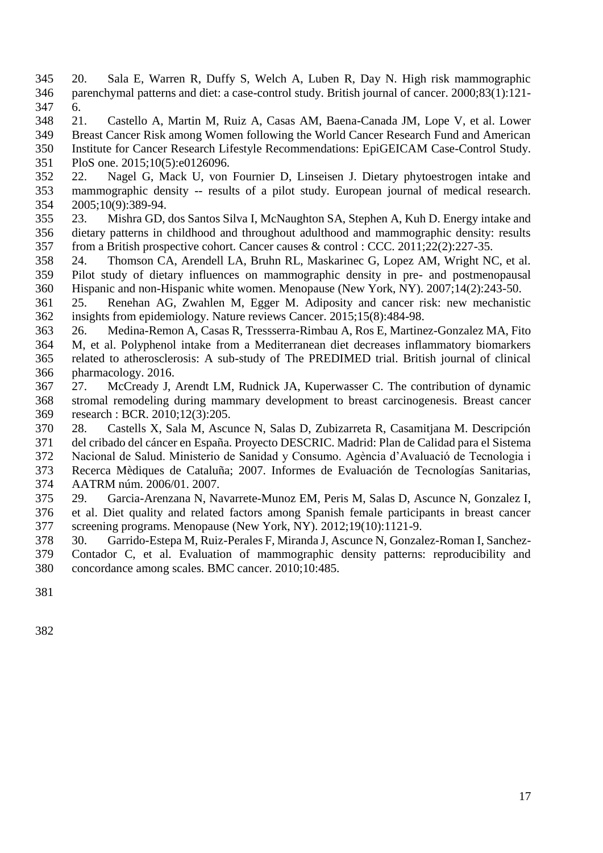- <span id="page-17-0"></span> 20. Sala E, Warren R, Duffy S, Welch A, Luben R, Day N. High risk mammographic parenchymal patterns and diet: a case-control study. British journal of cancer. 2000;83(1):121- 6.
- <span id="page-17-1"></span> 21. Castello A, Martin M, Ruiz A, Casas AM, Baena-Canada JM, Lope V, et al. Lower Breast Cancer Risk among Women following the World Cancer Research Fund and American Institute for Cancer Research Lifestyle Recommendations: EpiGEICAM Case-Control Study.
- PloS one. 2015;10(5):e0126096.
- <span id="page-17-2"></span> 22. Nagel G, Mack U, von Fournier D, Linseisen J. Dietary phytoestrogen intake and mammographic density -- results of a pilot study. European journal of medical research. 2005;10(9):389-94.
- <span id="page-17-3"></span> 23. Mishra GD, dos Santos Silva I, McNaughton SA, Stephen A, Kuh D. Energy intake and dietary patterns in childhood and throughout adulthood and mammographic density: results from a British prospective cohort. Cancer causes & control : CCC. 2011;22(2):227-35.
- <span id="page-17-4"></span> 24. Thomson CA, Arendell LA, Bruhn RL, Maskarinec G, Lopez AM, Wright NC, et al. Pilot study of dietary influences on mammographic density in pre- and postmenopausal Hispanic and non-Hispanic white women. Menopause (New York, NY). 2007;14(2):243-50.
- <span id="page-17-5"></span> 25. Renehan AG, Zwahlen M, Egger M. Adiposity and cancer risk: new mechanistic insights from epidemiology. Nature reviews Cancer. 2015;15(8):484-98.
- <span id="page-17-6"></span> 26. Medina-Remon A, Casas R, Tressserra-Rimbau A, Ros E, Martinez-Gonzalez MA, Fito M, et al. Polyphenol intake from a Mediterranean diet decreases inflammatory biomarkers related to atherosclerosis: A sub-study of The PREDIMED trial. British journal of clinical pharmacology. 2016.
- <span id="page-17-7"></span> 27. McCready J, Arendt LM, Rudnick JA, Kuperwasser C. The contribution of dynamic stromal remodeling during mammary development to breast carcinogenesis. Breast cancer research : BCR. 2010;12(3):205.
- <span id="page-17-8"></span>28. Castells X, Sala M, Ascunce N, Salas D, Zubizarreta R, Casamitjana M. Descripción
- del cribado del cáncer en España. Proyecto DESCRIC. Madrid: Plan de Calidad para el Sistema
- Nacional de Salud. Ministerio de Sanidad y Consumo. Agència d'Avaluació de Tecnologia i
- Recerca Mèdiques de Cataluña; 2007. Informes de Evaluación de Tecnologías Sanitarias, AATRM núm. 2006/01. 2007.
- <span id="page-17-9"></span> 29. Garcia-Arenzana N, Navarrete-Munoz EM, Peris M, Salas D, Ascunce N, Gonzalez I, et al. Diet quality and related factors among Spanish female participants in breast cancer screening programs. Menopause (New York, NY). 2012;19(10):1121-9.
- <span id="page-17-10"></span> 30. Garrido-Estepa M, Ruiz-Perales F, Miranda J, Ascunce N, Gonzalez-Roman I, Sanchez- Contador C, et al. Evaluation of mammographic density patterns: reproducibility and concordance among scales. BMC cancer. 2010;10:485.
-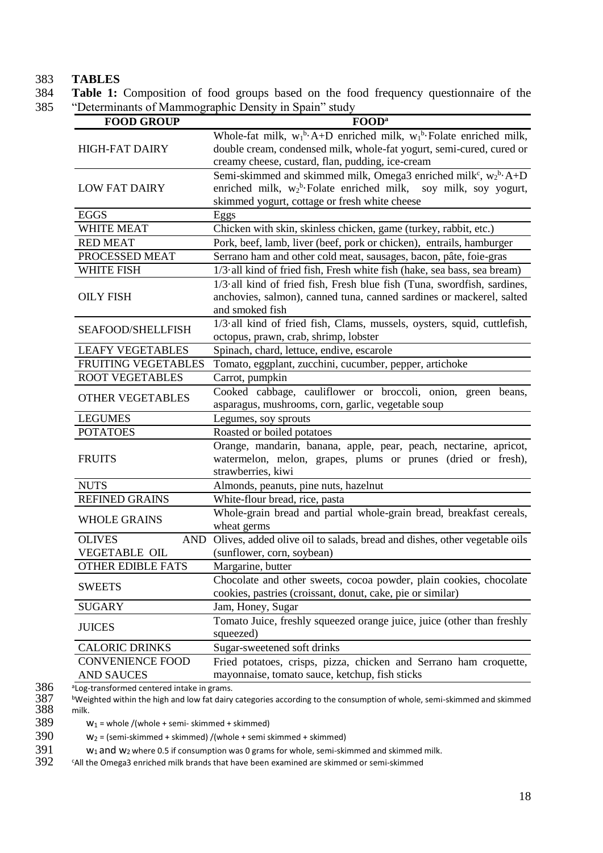#### 383 **TABLES**

384 **Table 1:** Composition of food groups based on the food frequency questionnaire of the 385 "Determinants of Mammographic Density in Spain" study

| <b>FOOD GROUP</b>                                      | FOOD <sup>a</sup>                                                               |
|--------------------------------------------------------|---------------------------------------------------------------------------------|
|                                                        | Whole-fat milk, $w_1^b$ -A+D enriched milk, $w_1^b$ -Folate enriched milk,      |
| <b>HIGH-FAT DAIRY</b>                                  | double cream, condensed milk, whole-fat yogurt, semi-cured, cured or            |
|                                                        | creamy cheese, custard, flan, pudding, ice-cream                                |
|                                                        | Semi-skimmed and skimmed milk, Omega3 enriched milk <sup>c</sup> , $w_2^b$ ·A+D |
| <b>LOW FAT DAIRY</b>                                   | enriched milk, $w_2^b$ -Folate enriched milk, soy milk, soy yogurt,             |
|                                                        | skimmed yogurt, cottage or fresh white cheese                                   |
| <b>EGGS</b>                                            | Eggs                                                                            |
| <b>WHITE MEAT</b>                                      | Chicken with skin, skinless chicken, game (turkey, rabbit, etc.)                |
| <b>RED MEAT</b>                                        | Pork, beef, lamb, liver (beef, pork or chicken), entrails, hamburger            |
| PROCESSED MEAT                                         | Serrano ham and other cold meat, sausages, bacon, pâte, foie-gras               |
| <b>WHITE FISH</b>                                      | 1/3 all kind of fried fish, Fresh white fish (hake, sea bass, sea bream)        |
|                                                        | 1/3 all kind of fried fish, Fresh blue fish (Tuna, swordfish, sardines,         |
| <b>OILY FISH</b>                                       | anchovies, salmon), canned tuna, canned sardines or mackerel, salted            |
|                                                        | and smoked fish                                                                 |
|                                                        | 1/3 all kind of fried fish, Clams, mussels, oysters, squid, cuttlefish,         |
| <b>SEAFOOD/SHELLFISH</b>                               | octopus, prawn, crab, shrimp, lobster                                           |
| <b>LEAFY VEGETABLES</b>                                | Spinach, chard, lettuce, endive, escarole                                       |
| <b>FRUITING VEGETABLES</b>                             | Tomato, eggplant, zucchini, cucumber, pepper, artichoke                         |
| <b>ROOT VEGETABLES</b>                                 | Carrot, pumpkin                                                                 |
|                                                        | Cooked cabbage, cauliflower or broccoli, onion, green beans,                    |
| <b>OTHER VEGETABLES</b>                                | asparagus, mushrooms, corn, garlic, vegetable soup                              |
| <b>LEGUMES</b>                                         | Legumes, soy sprouts                                                            |
| <b>POTATOES</b>                                        | Roasted or boiled potatoes                                                      |
|                                                        | Orange, mandarin, banana, apple, pear, peach, nectarine, apricot,               |
| <b>FRUITS</b>                                          | watermelon, melon, grapes, plums or prunes (dried or fresh),                    |
|                                                        | strawberries, kiwi                                                              |
| <b>NUTS</b>                                            | Almonds, peanuts, pine nuts, hazelnut                                           |
| <b>REFINED GRAINS</b>                                  | White-flour bread, rice, pasta                                                  |
|                                                        | Whole-grain bread and partial whole-grain bread, breakfast cereals,             |
| <b>WHOLE GRAINS</b>                                    | wheat germs                                                                     |
| <b>OLIVES</b><br><b>AND</b>                            | Olives, added olive oil to salads, bread and dishes, other vegetable oils       |
| <b>VEGETABLE OIL</b>                                   | (sunflower, corn, soybean)                                                      |
| <b>OTHER EDIBLE FATS</b>                               | Margarine, butter                                                               |
|                                                        | Chocolate and other sweets, cocoa powder, plain cookies, chocolate              |
| <b>SWEETS</b>                                          | cookies, pastries (croissant, donut, cake, pie or similar)                      |
| <b>SUGARY</b>                                          | Jam, Honey, Sugar                                                               |
|                                                        | Tomato Juice, freshly squeezed orange juice, juice (other than freshly          |
| <b>JUICES</b>                                          | squeezed)                                                                       |
| <b>CALORIC DRINKS</b>                                  | Sugar-sweetened soft drinks                                                     |
| <b>CONVENIENCE FOOD</b>                                | Fried potatoes, crisps, pizza, chicken and Serrano ham croquette,               |
| <b>AND SAUCES</b>                                      | mayonnaise, tomato sauce, ketchup, fish sticks                                  |
| <sup>a</sup> Log-transformed centered intake in grams. |                                                                                 |

**bWeighted within the high and low fat dairy categories according to the consumption of whole, semi-skimmed and skimmed** 388 milk.

389  $W_1$  = whole /(whole + semi- skimmed + skimmed)<br>390  $W_2$  = (semi-skimmed + skimmed) /(whole + semi s

390  $w_2$  = (semi-skimmed + skimmed) /(whole + semi skimmed + skimmed)<br>391  $w_1$  and  $w_2$  where 0.5 if consumption was 0 grams for whole, semi-skin

 $391$  w<sub>1</sub> and w<sub>2</sub> where 0.5 if consumption was 0 grams for whole, semi-skimmed and skimmed milk.<br> $392$  cAll the Omega3 enriched milk brands that have been examined are skimmed or semi-skimmed

<sup>c</sup>All the Omega3 enriched milk brands that have been examined are skimmed or semi-skimmed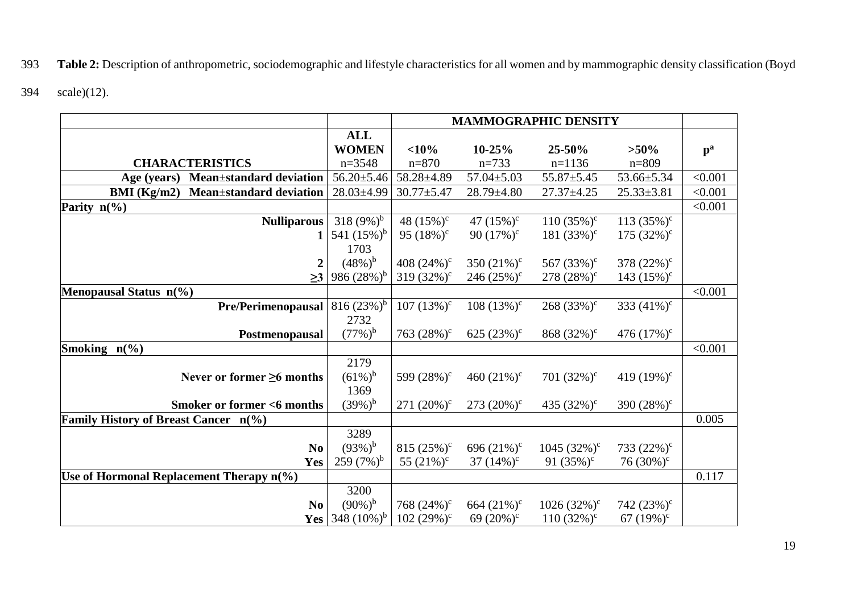# 393 **Table 2:** Description of anthropometric, sociodemographic and lifestyle characteristics for all women and by mammographic density classification (Boyd

394 scale)[\(12\)](#page-16-15).

|                                                    |                  | <b>MAMMOGRAPHIC DENSITY</b> |                  |                  |                  |         |  |  |  |  |
|----------------------------------------------------|------------------|-----------------------------|------------------|------------------|------------------|---------|--|--|--|--|
|                                                    | <b>ALL</b>       |                             |                  |                  |                  |         |  |  |  |  |
|                                                    | <b>WOMEN</b>     | <10%                        | 10-25%           | 25-50%           | $>50\%$          | $p^a$   |  |  |  |  |
| <b>CHARACTERISTICS</b>                             | $n = 3548$       | $n = 870$                   | $n=733$          | $n=1136$         | $n = 809$        |         |  |  |  |  |
| Mean±standard deviation<br>Age (years)             | $56.20 \pm 5.46$ | 58.28±4.89                  | $57.04 \pm 5.03$ | $55.87 \pm 5.45$ | 53.66±5.34       | < 0.001 |  |  |  |  |
| BMI (Kg/m2)<br><b>Mean</b> ±standard deviation     | 28.03±4.99       | $30.77 + 5.47$              | $28.79 \pm 4.80$ | $27.37 \pm 4.25$ | $25.33 \pm 3.81$ | < 0.001 |  |  |  |  |
| Parity $n\binom{0}{0}$                             |                  |                             |                  |                  |                  | < 0.001 |  |  |  |  |
| <b>Nulliparous</b>                                 | 318 $(9%)^b$     | 48 $(15\%)^c$               | 47 $(15\%)^c$    | $110(35\%)^c$    | 113 $(35\%)^c$   |         |  |  |  |  |
| 1                                                  | 541 $(15\%)^b$   | 95 $(18\%)^c$               | 90 $(17\%)^c$    | 181 $(33%)^c$    | $175 (32\%)^c$   |         |  |  |  |  |
|                                                    | 1703             |                             |                  |                  |                  |         |  |  |  |  |
| $\boldsymbol{2}$                                   | $(48\%)^b$       | 408 $(24\%)^c$              | 350 $(21\%)^c$   | 567 $(33%)^c$    | 378 $(22%)^c$    |         |  |  |  |  |
| $\geq$ 3                                           | 986 $(28%)^b$    | 319 $(32\%)^c$              | 246 $(25%)^c$    | 278 $(28%)^c$    | 143 $(15\%)^c$   |         |  |  |  |  |
| Menopausal Status n(%)                             |                  |                             |                  |                  |                  | < 0.001 |  |  |  |  |
| Pre/Perimenopausal                                 | 816 $(23%)^b$    | $107(13\%)^c$               | $108 (13\%)^c$   | $268 (33\%)^c$   | 333 $(41\%)^c$   |         |  |  |  |  |
|                                                    | 2732             |                             |                  |                  |                  |         |  |  |  |  |
| Postmenopausal                                     | $(77%)^b$        | 763 $(28%)^c$               | 625 $(23%)^c$    | 868 $(32\%)^c$   | 476 $(17\%)^c$   |         |  |  |  |  |
| Smoking $n\frac{6}{6}$                             |                  |                             |                  |                  |                  | < 0.001 |  |  |  |  |
|                                                    | 2179             |                             |                  |                  |                  |         |  |  |  |  |
| Never or former $\geq 6$ months                    | $(61\%)^b$       | 599 $(28%)^c$               | 460 $(21\%)^c$   | 701 $(32\%)^c$   | 419 $(19\%)^c$   |         |  |  |  |  |
|                                                    | 1369             |                             |                  |                  |                  |         |  |  |  |  |
| <b>Smoker or former &lt;6 months</b>               | $(39\%)^b$       | 271 $(20\%)^c$              | $273 (20\%)^c$   | 435 $(32\%)^c$   | 390 $(28%)^c$    |         |  |  |  |  |
| Family History of Breast Cancer n(%)               |                  |                             |                  |                  |                  | 0.005   |  |  |  |  |
|                                                    | 3289             |                             |                  |                  |                  |         |  |  |  |  |
| N <sub>0</sub>                                     | $(93%)^b$        | 815 $(25\%)^c$              | 696 $(21\%)^c$   | 1045 $(32\%)^c$  | 733 $(22%)^c$    |         |  |  |  |  |
| Yes                                                | $259(7%)^b$      | 55 $(21\%)^c$               | 37 $(14\%)^c$    | 91 $(35\%)^c$    | 76 $(30\%)^c$    |         |  |  |  |  |
| Use of Hormonal Replacement Therapy $n\frac{6}{6}$ |                  |                             |                  |                  |                  | 0.117   |  |  |  |  |
|                                                    | 3200             |                             |                  |                  |                  |         |  |  |  |  |
| N <sub>0</sub>                                     | $(90\%)^b$       | 768 $(24\%)^c$              | 664 $(21\%)^c$   | $1026(32%)^c$    | 742 $(23%)^c$    |         |  |  |  |  |
| Yes                                                | 348 $(10\%)^b$   | $102 (29%)^c$               | 69 $(20\%)^c$    | $110 (32\%)^c$   | 67 $(19\%)^c$    |         |  |  |  |  |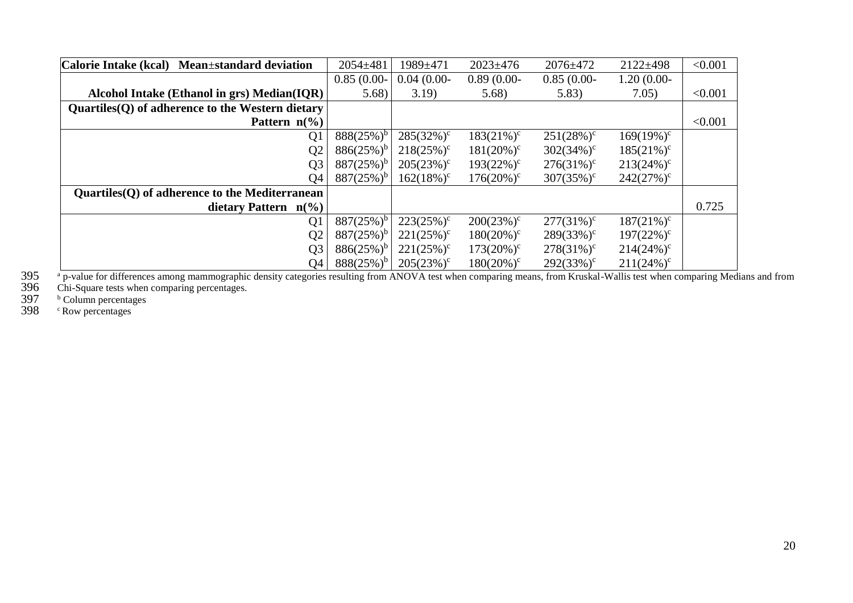| Calorie Intake (kcal) Mean±standard deviation      | $2054 \pm 481$ | 1989±471      | $2023 \pm 476$ | $2076 \pm 472$ | $2122 \pm 498$ | < 0.001 |
|----------------------------------------------------|----------------|---------------|----------------|----------------|----------------|---------|
|                                                    | $0.85(0.00 -$  | $0.04(0.00-$  | $0.89(0.00-$   | $0.85(0.00-$   | $1.20(0.00 -$  |         |
| Alcohol Intake (Ethanol in grs) Median(IQR)        | 5.68           | 3.19)         | 5.68           | 5.83)          | 7.05)          | < 0.001 |
| $Quartiles(Q)$ of adherence to the Western dietary |                |               |                |                |                |         |
| Pattern $n\frac{6}{6}$                             |                |               |                |                |                | < 0.001 |
| Q <sub>1</sub>                                     | $888(25%)^b$   | $285(32\%)^c$ | $183(21\%)^c$  | $251(28%)^c$   | $169(19\%)^c$  |         |
| Q <sub>2</sub>                                     | $886(25\%)^b$  | $218(25%)^c$  | $181(20\%)^c$  | $302(34%)^c$   | $185(21\%)^c$  |         |
| Q <sub>3</sub>                                     | $887(25%)^b$   | $205(23%)^c$  | $193(22%)^c$   | $276(31\%)^c$  | $213(24%)^c$   |         |
| Q4                                                 | $887(25%)^b$   | $162(18\%)^c$ | $176(20\%)^c$  | $307(35%)^c$   | $242(27%)^c$   |         |
| Quartiles (Q) of adherence to the Mediterranean    |                |               |                |                |                |         |
| dietary Pattern $n(\%)$                            |                |               |                |                |                | 0.725   |
| Q <sub>1</sub>                                     | $887(25%)^b$   | $223(25%)^c$  | $200(23%)^c$   | $277(31\%)^c$  | $187(21\%)^c$  |         |
| Q <sub>2</sub>                                     | $887(25%)^b$   | $221(25%)^c$  | $180(20\%)^c$  | $289(33%)^c$   | $197(22%)^c$   |         |
| Q <sub>3</sub>                                     | $886(25%)^b$   | $221(25%)^c$  | $173(20\%)^c$  | $278(31\%)^c$  | $214(24%)^c$   |         |
| Q4                                                 | $888(25%)^b$   | $205(23%)^c$  | $180(20\%)^c$  | $292(33%)^c$   | $211(24%)^c$   |         |

a 395 ap-value for differences among mammographic density categories resulting from ANOVA test when comparing means, from Kruskal-Wallis test when comparing Medians and from<br>396 Chi-Square tests when comparing percentages

Chi-Square tests when comparing percentages.

**b** Column percentages

<sup>c</sup> Row percentages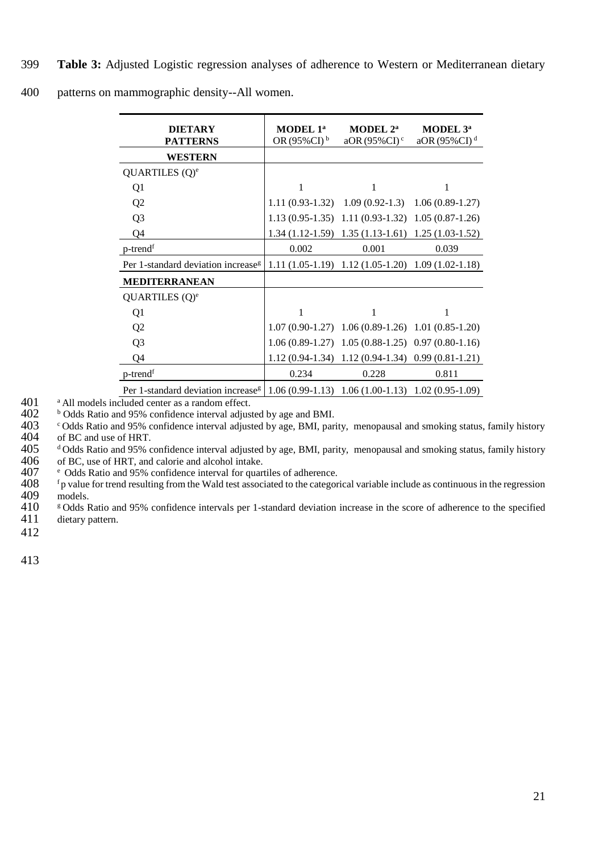| 400<br>patterns on mammographic density--All women. |  |
|-----------------------------------------------------|--|
|-----------------------------------------------------|--|

| <b>DIETARY</b><br><b>PATTERNS</b>              | MODEL 1ª<br>OR $(95\%CI)^{b}$ | MODEL 2 <sup>a</sup><br>aOR $(95\%$ CI $)$ <sup>c</sup> | MODEL 3 <sup>a</sup><br>aOR (95%CI) $d$ |
|------------------------------------------------|-------------------------------|---------------------------------------------------------|-----------------------------------------|
| <b>WESTERN</b>                                 |                               |                                                         |                                         |
| QUARTILES (Q) <sup>e</sup>                     |                               |                                                         |                                         |
| Q1                                             | 1                             | 1                                                       | 1                                       |
| Q <sub>2</sub>                                 | $1.11(0.93-1.32)$             | $1.09(0.92-1.3)$                                        | $1.06(0.89-1.27)$                       |
| Q <sub>3</sub>                                 |                               | $1.13(0.95-1.35)$ $1.11(0.93-1.32)$                     | $1.05(0.87-1.26)$                       |
| Q4                                             |                               | $1.34(1.12-1.59)$ $1.35(1.13-1.61)$                     | $1.25(1.03-1.52)$                       |
| $p$ -trend <sup>f</sup>                        | 0.002                         | 0.001                                                   | 0.039                                   |
| Per 1-standard deviation increase <sup>g</sup> |                               | $1.11(1.05-1.19)$ $1.12(1.05-1.20)$ $1.09(1.02-1.18)$   |                                         |
| <b>MEDITERRANEAN</b>                           |                               |                                                         |                                         |
| QUARTILES (Q) <sup>e</sup>                     |                               |                                                         |                                         |
| Q <sub>1</sub>                                 | 1                             |                                                         |                                         |
| Q <sub>2</sub>                                 |                               | $1.07(0.90-1.27)$ $1.06(0.89-1.26)$ $1.01(0.85-1.20)$   |                                         |
| Q <sub>3</sub>                                 |                               | $1.06(0.89-1.27)$ $1.05(0.88-1.25)$ $0.97(0.80-1.16)$   |                                         |
| Q4                                             | $1.12(0.94-1.34)$             |                                                         | $1.12(0.94-1.34)$ 0.99 $(0.81-1.21)$    |
| $p$ -trend <sup>f</sup>                        | 0.234                         | 0.228                                                   | 0.811                                   |
| Per 1-standard deviation increase <sup>g</sup> |                               | $1.06(0.99-1.13)$ $1.06(1.00-1.13)$ $1.02(0.95-1.09)$   |                                         |

401 a All models included center as a random effect.<br>402 b Odds Ratio and 95% confidence interval adjus

402 b Odds Ratio and 95% confidence interval adjusted by age and BMI.<br>403 c Odds Ratio and 95% confidence interval adjusted by age, BMI, par

<sup>c</sup>Odds Ratio and 95% confidence interval adjusted by age, BMI, parity, menopausal and smoking status, family history<br>404 of BC and use of HRT. 404 of BC and use of HRT.<br>405 dOdds Ratio and 95% c

 $405$  dodds Ratio and 95% confidence interval adjusted by age, BMI, parity, menopausal and smoking status, family history  $406$  of BC, use of HRT, and calorie and alcohol intake. 406 of BC, use of HRT, and calorie and alcohol intake.<br>407  $\degree$  Odds Ratio and 95% confidence interval for quart

407 e Odds Ratio and 95% confidence interval for quartiles of adherence.<br>408  $\frac{f_p}{f_p}$  value for trend resulting from the Wald test associated to the categor

<sup>f</sup> p value for trend resulting from the Wald test associated to the categorical variable include as continuous in the regression models. 409 models.<br>410  $\frac{1}{5}$  Odds I

410  $\frac{100}{11}$  godds Ratio and 95% confidence intervals per 1-standard deviation increase in the score of adherence to the specified dietary pattern. dietary pattern.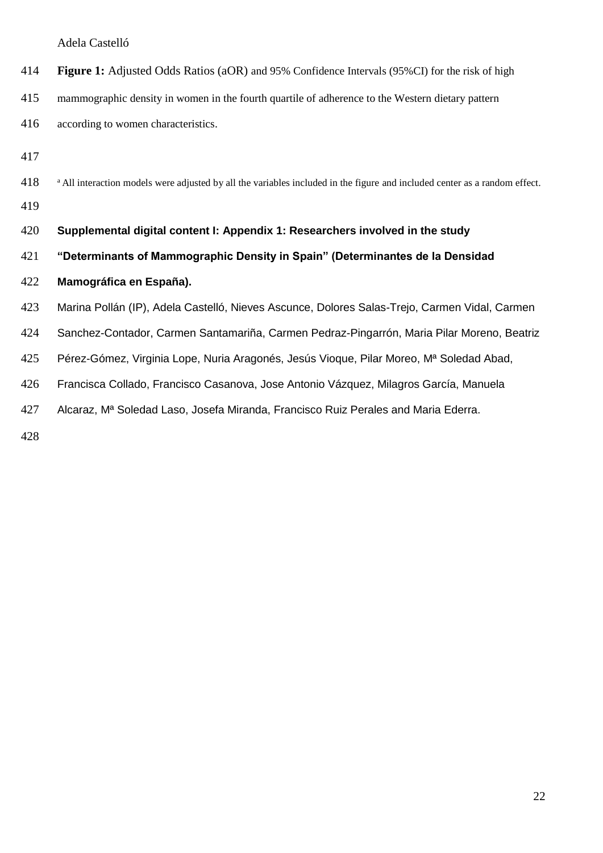Adela Castelló

| 414 |  | <b>Figure 1:</b> Adjusted Odds Ratios (aOR) and 95% Confidence Intervals (95%CI) for the risk of high |  |
|-----|--|-------------------------------------------------------------------------------------------------------|--|
|     |  |                                                                                                       |  |

- mammographic density in women in the fourth quartile of adherence to the Western dietary pattern
- according to women characteristics.
- 
- 418 a All interaction models were adjusted by all the variables included in the figure and included center as a random effect.
- 

#### **Supplemental digital content I: Appendix 1: Researchers involved in the study**

- **"Determinants of Mammographic Density in Spain" (Determinantes de la Densidad**
- **Mamográfica en España).**
- Marina Pollán (IP), Adela Castelló, Nieves Ascunce, Dolores Salas-Trejo, Carmen Vidal, Carmen
- Sanchez-Contador, Carmen Santamariña, Carmen Pedraz-Pingarrón, Maria Pilar Moreno, Beatriz
- 425 Pérez-Gómez, Virginia Lope, Nuria Aragonés, Jesús Vioque, Pilar Moreo, M<sup>a</sup> Soledad Abad,
- Francisca Collado, Francisco Casanova, Jose Antonio Vázquez, Milagros García, Manuela
- 427 Alcaraz, M<sup>a</sup> Soledad Laso, Josefa Miranda, Francisco Ruiz Perales and Maria Ederra.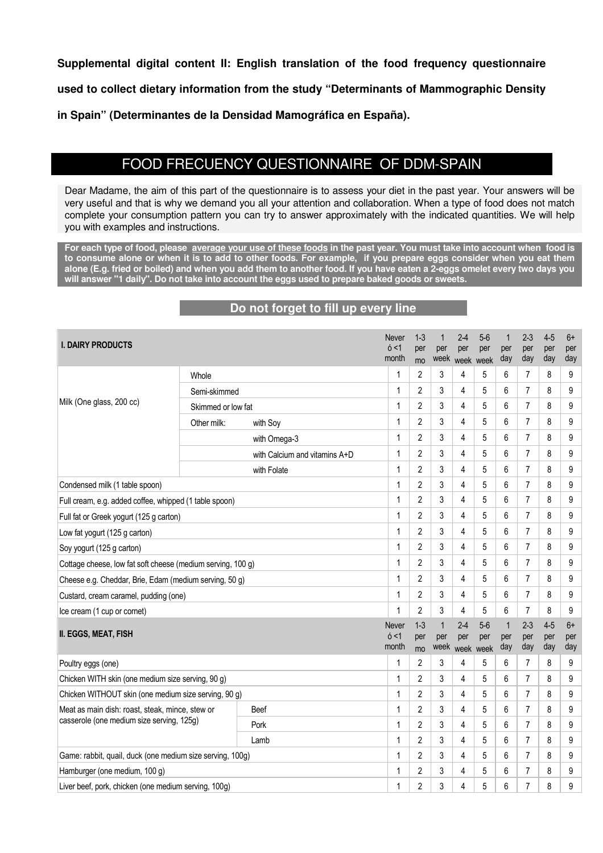**Supplemental digital content II: English translation of the food frequency questionnaire used to collect dietary information from the study "Determinants of Mammographic Density in Spain" (Determinantes de la Densidad Mamográfica en España).**

# FOOD FRECUENCY QUESTIONNAIRE OF DDM-SPAIN

Dear Madame, the aim of this part of the questionnaire is to assess your diet in the past year. Your answers will be very useful and that is why we demand you all your attention and collaboration. When a type of food does not match complete your consumption pattern you can try to answer approximately with the indicated quantities. We will help you with examples and instructions.

**For each type of food, please average your use of these foods in the past year. You must take into account when food is to consume alone or when it is to add to other foods. For example, if you prepare eggs consider when you eat them alone (E.g. fried or boiled) and when you add them to another food. If you have eaten a 2-eggs omelet every two days you will answer "1 daily". Do not take into account the eggs used to prepare baked goods or sweets.**

### **Do not forget to fill up every line**

| <b>I. DAIRY PRODUCTS</b>                                    |                    | Never<br>6 < 1<br>month       | $1 - 3$<br>per<br>mo | 1<br>per       | $2 - 4$<br>per<br>week week | $5-6$<br>per<br>week | $\mathbf 1$<br>per<br>day | 2-3<br>per<br>day | $4 - 5$<br>per<br>day | $6+$<br>per<br>day |            |
|-------------------------------------------------------------|--------------------|-------------------------------|----------------------|----------------|-----------------------------|----------------------|---------------------------|-------------------|-----------------------|--------------------|------------|
|                                                             | Whole              |                               | 1                    | $\overline{2}$ | 3                           | 4                    | 5                         | 6                 | 7                     | 8                  | 9          |
|                                                             | Semi-skimmed       |                               | 1                    | $\overline{2}$ | 3                           | 4                    | 5                         | 6                 | $\overline{7}$        | 8                  | 9          |
| Milk (One glass, 200 cc)                                    | Skimmed or low fat |                               | 1                    | $\overline{2}$ | 3                           | 4                    | 5                         | 6                 | $\overline{7}$        | 8                  | 9          |
|                                                             | Other milk:        | with Soy                      | 1                    | $\overline{2}$ | 3                           | 4                    | 5                         | 6                 | 7                     | 8                  | 9          |
|                                                             |                    | with Omega-3                  | 1                    | $\overline{2}$ | 3                           | 4                    | 5                         | 6                 | 7                     | 8                  | 9          |
|                                                             |                    | with Calcium and vitamins A+D | 1                    | $\overline{2}$ | 3                           | 4                    | 5                         | 6                 | 7                     | 8                  | 9          |
|                                                             |                    | with Folate                   | 1                    | $\overline{2}$ | 3                           | 4                    | 5                         | 6                 | 7                     | 8                  | 9          |
| Condensed milk (1 table spoon)                              |                    |                               | 1                    | $\overline{2}$ | 3                           | 4                    | 5                         | 6                 | 7                     | 8                  | 9          |
| Full cream, e.g. added coffee, whipped (1 table spoon)      |                    |                               | 1                    | $\overline{2}$ | 3                           | 4                    | 5                         | 6                 | $\overline{7}$        | 8                  | 9          |
| Full fat or Greek yogurt (125 g carton)                     |                    |                               | 1                    | $\overline{2}$ | 3                           | 4                    | 5                         | 6                 | 7                     | 8                  | 9          |
| Low fat yogurt (125 g carton)                               |                    |                               | $\mathbf{1}$         | $\overline{2}$ | 3                           | 4                    | 5                         | 6                 | 7                     | 8                  | 9          |
| Soy yogurt (125 g carton)                                   |                    |                               | 1                    | $\overline{2}$ | 3                           | 4                    | 5                         | 6                 | 7                     | 8                  | 9          |
| Cottage cheese, low fat soft cheese (medium serving, 100 g) |                    | $\mathbf{1}$                  | $\overline{2}$       | 3              | 4                           | 5                    | 6                         | $\overline{7}$    | 8                     | 9                  |            |
| Cheese e.g. Cheddar, Brie, Edam (medium serving, 50 g)      |                    |                               | 1                    | $\overline{2}$ | 3                           | 4                    | 5                         | 6                 | 7                     | 8                  | 9          |
| Custard, cream caramel, pudding (one)                       |                    |                               | $\mathbf{1}$         | $\overline{2}$ | 3                           | 4                    | 5                         | 6                 | 7                     | 8                  | 9          |
| Ice cream (1 cup or cornet)                                 |                    |                               | 1                    | $\overline{2}$ | 3                           | 4                    | 5                         | 6                 | 7                     | 8                  | 9          |
| II. EGGS, MEAT, FISH                                        |                    |                               | <b>Never</b>         | $1-3$          | $\mathbf 1$                 | $2 - 4$              | $5-6$                     | $\mathbf{1}$      | $2 - 3$               | $4 - 5$            | $6+$       |
|                                                             |                    |                               | 6 < 1<br>month       | per<br>mo      | per<br>week                 | per<br>week          | per<br>week               | per<br>day        | per<br>day            | per<br>day         | per<br>day |
| Poultry eggs (one)                                          |                    |                               | 1                    | $\overline{2}$ | 3                           | 4                    | 5                         | 6                 | $\overline{7}$        | 8                  | 9          |
| Chicken WITH skin (one medium size serving, 90 g)           |                    |                               | 1                    | $\overline{2}$ | 3                           | 4                    | 5                         | 6                 | $\overline{7}$        | 8                  | 9          |
| Chicken WITHOUT skin (one medium size serving, 90 g)        |                    |                               | 1                    | $\overline{2}$ | 3                           | 4                    | 5                         | 6                 | 7                     | 8                  | 9          |
| Meat as main dish: roast, steak, mince, stew or             |                    | Beef                          | 1                    | $\overline{2}$ | 3                           | 4                    | 5                         | 6                 | 7                     | 8                  | 9          |
| casserole (one medium size serving, 125g)                   |                    | Pork                          | 1                    | $\overline{2}$ | 3                           | 4                    | 5                         | 6                 | $\overline{7}$        | 8                  | 9          |
|                                                             |                    | Lamb                          | 1                    | $\overline{2}$ | 3                           | 4                    | 5                         | 6                 | 7                     | 8                  | 9          |
| Game: rabbit, quail, duck (one medium size serving, 100g)   |                    |                               | 1                    | $\overline{2}$ | 3                           | 4                    | 5                         | 6                 | 7                     | 8                  | 9          |
| Hamburger (one medium, 100 g)                               |                    |                               | 1                    | $\overline{2}$ | 3                           | 4                    | 5                         | 6                 | 7                     | 8                  | 9          |
| Liver beef, pork, chicken (one medium serving, 100g)        |                    |                               | 1                    | $\overline{2}$ | 3                           | 4                    | 5                         | 6                 | $\overline{7}$        | 8                  | 9          |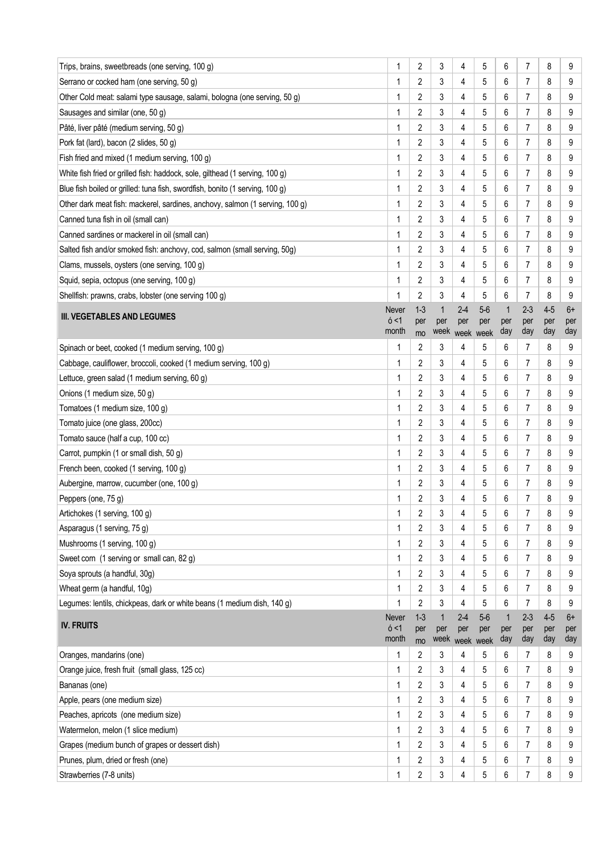| Trips, brains, sweetbreads (one serving, 100 g)                              | 1              | $\overline{2}$                   | 3            | 4         | 5         | 6            | 7                   | 8       | 9      |
|------------------------------------------------------------------------------|----------------|----------------------------------|--------------|-----------|-----------|--------------|---------------------|---------|--------|
| Serrano or cocked ham (one serving, 50 g)                                    | 1              | $\overline{2}$                   | 3            | 4         | 5         | 6            | 7                   | 8       | 9      |
| Other Cold meat: salami type sausage, salami, bologna (one serving, 50 g)    | 1              | 2                                | 3            | 4         | 5         | 6            | 7                   | 8       | 9      |
| Sausages and similar (one, 50 g)                                             | 1              | $\overline{2}$                   | 3            | 4         | 5         | 6            | 7                   | 8       | 9      |
| Pâté, liver pâté (medium serving, 50 g)                                      | 1              | 2                                | 3            | 4         | 5         | 6            | 7                   | 8       | 9      |
| Pork fat (lard), bacon (2 slides, 50 g)                                      | 1              | 2                                | 3            | 4         | 5         | 6            | 7                   | 8       | 9      |
| Fish fried and mixed (1 medium serving, 100 g)                               | 1              | 2                                | 3            | 4         | 5         | 6            | $\overline{7}$      | 8       | 9      |
| White fish fried or grilled fish: haddock, sole, gilthead (1 serving, 100 g) | 1              | 2                                | 3            | 4         | 5         | 6            | 7                   | 8       | 9      |
| Blue fish boiled or grilled: tuna fish, swordfish, bonito (1 serving, 100 g) | 1              | 2                                | 3            | 4         | 5         | 6            | $\overline{7}$      | 8       | 9      |
| Other dark meat fish: mackerel, sardines, anchovy, salmon (1 serving, 100 g) | 1              | 2                                | 3            | 4         | 5         | 6            | 7                   | 8       | 9      |
| Canned tuna fish in oil (small can)                                          | 1              | $\overline{2}$                   | 3            | 4         | 5         | 6            | $\overline{7}$      | 8       | 9      |
| Canned sardines or mackerel in oil (small can)                               | 1              | 2                                | 3            | 4         | 5         | 6            | 7                   | 8       | 9      |
| Salted fish and/or smoked fish: anchovy, cod, salmon (small serving, 50g)    | 1              | 2                                | 3            | 4         | 5         | 6            | 7                   | 8       | 9      |
| Clams, mussels, oysters (one serving, 100 g)                                 | 1              | 2                                | 3            | 4         | 5         | 6            | 7                   | 8       | 9      |
| Squid, sepia, octopus (one serving, 100 g)                                   | 1              | $\overline{2}$                   | 3            | 4         | 5         | 6            | 7                   | 8       | 9      |
| Shellfish: prawns, crabs, lobster (one serving 100 g)                        | 1              | $\overline{2}$                   | 3            | 4         | 5         | 6            | 7                   | 8       | 9      |
|                                                                              | Never          | $1-3$                            | $\mathbf{1}$ | $2 - 4$   | $5-6$     | $\mathbf{1}$ | 2-3                 | $4 - 5$ | 6+     |
| <b>III. VEGETABLES AND LEGUMES</b>                                           | 6 < 1          | per                              | per          | per       | per       | per          | per                 | per     | per    |
|                                                                              | month<br>1     | mo<br>$\overline{2}$             | week<br>3    | week      | week<br>5 | day          | day                 | day     | day    |
| Spinach or beet, cooked (1 medium serving, 100 g)                            |                |                                  |              | 4         |           | 6            | 7                   | 8       | 9      |
| Cabbage, cauliflower, broccoli, cooked (1 medium serving, 100 g)             | 1              | 2                                | 3            | 4         | 5         | 6            | 7                   | 8       | 9      |
| Lettuce, green salad (1 medium serving, 60 g)                                | 1              | $\overline{c}$                   | 3            | 4         | 5         | 6            | $\overline{7}$      | 8       | 9      |
| Onions (1 medium size, 50 g)                                                 | 1<br>1         | 2                                | 3<br>3       | 4         | 5<br>5    | 6<br>6       | 7<br>7              | 8<br>8  | 9      |
| Tomatoes (1 medium size, 100 g)                                              | 1              | $\overline{2}$<br>$\overline{2}$ | 3            | 4         | 5         |              | 7                   |         | 9      |
| Tomato juice (one glass, 200cc)<br>Tomato sauce (half a cup, 100 cc)         | 1              | $\overline{2}$                   | 3            | 4<br>4    | 5         | 6<br>6       | $\overline{7}$      | 8<br>8  | 9<br>9 |
| Carrot, pumpkin (1 or small dish, 50 g)                                      | 1              | $\overline{2}$                   | 3            | 4         | 5         | 6            | 7                   | 8       | 9      |
| French been, cooked (1 serving, 100 g)                                       | 1              | 2                                | 3            | 4         | 5         | 6            | 7                   | 8       | 9      |
| Aubergine, marrow, cucumber (one, 100 g)                                     | 1              | $\overline{c}$                   | 3            | 4         | 5         | 6            | 7                   | 8       | 9      |
| Peppers (one, 75 g)                                                          | 1              | 2                                | 3            | 4         | 5         | 6            | 7                   | 8       | 9      |
| Artichokes (1 serving, 100 g)                                                |                | $\overline{\mathbf{c}}$          | 3            | 4         | 5         | 6            | 7                   | 8       | 9      |
| Asparagus (1 serving, 75 g)                                                  | 1              | $\overline{2}$                   | 3            | 4         | 5         | 6            | $\overline{7}$      | 8       | 9      |
| Mushrooms (1 serving, 100 g)                                                 | 1              | 2                                | 3            | 4         | 5         | 6            | $\overline{7}$      | 8       | 9      |
| Sweet corn (1 serving or small can, 82 g)                                    | 1              | 2                                | 3            | 4         | 5         | 6            | 7                   | 8       | 9      |
| Soya sprouts (a handful, 30g)                                                | 1              | 2                                | 3            | 4         | 5         | 6            | $\overline{7}$      | 8       | 9      |
| Wheat germ (a handful, 10g)                                                  | 1              | 2                                | 3            | 4         | 5         | 6            | 7                   | 8       | 9      |
| Legumes: lentils, chickpeas, dark or white beans (1 medium dish, 140 g)      | 1              | 2                                | 3            | 4         | 5         | 6            | $\overline{7}$      | 8       | 9      |
|                                                                              | Never          | $1-3$                            | 1            | $2-4$     | $5-6$     | $\mathbf 1$  | $2 - 3$             | $4-5$   | $6+$   |
| <b>IV. FRUITS</b>                                                            | 6 < 1<br>month | per                              | per<br>week  | per       | per       | per          | per                 | per     | per    |
|                                                                              |                | mo                               |              | week week |           | day          | day                 | day     | day    |
| Oranges, mandarins (one)<br>Orange juice, fresh fruit (small glass, 125 cc)  | 1<br>1         | 2<br>2                           | 3<br>3       | 4<br>4    | 5<br>5    | 6<br>6       | 7<br>$\overline{7}$ | 8<br>8  | 9<br>9 |
| Bananas (one)                                                                | 1              | $\overline{2}$                   | 3            | 4         | 5         | 6            | 7                   | 8       | 9      |
| Apple, pears (one medium size)                                               | 1              | 2                                | 3            | 4         | 5         | 6            | $\overline{7}$      | 8       | 9      |
| Peaches, apricots (one medium size)                                          | 1              | 2                                | 3            | 4         | 5         | 6            | 7                   | 8       | 9      |
| Watermelon, melon (1 slice medium)                                           | 1              | 2                                | 3            | 4         | 5         | 6            | $\overline{7}$      | 8       | 9      |
| Grapes (medium bunch of grapes or dessert dish)                              | 1              | 2                                | 3            | 4         | 5         | 6            | 7                   | 8       | 9      |
| Prunes, plum, dried or fresh (one)                                           | 1              | $\overline{2}$                   | 3            | 4         | 5         | 6            | $\overline{7}$      | 8       | 9      |
| Strawberries (7-8 units)                                                     | 1              | $\overline{2}$                   | 3            | 4         | 5         | 6            | 7                   | 8       | 9      |
|                                                                              |                |                                  |              |           |           |              |                     |         |        |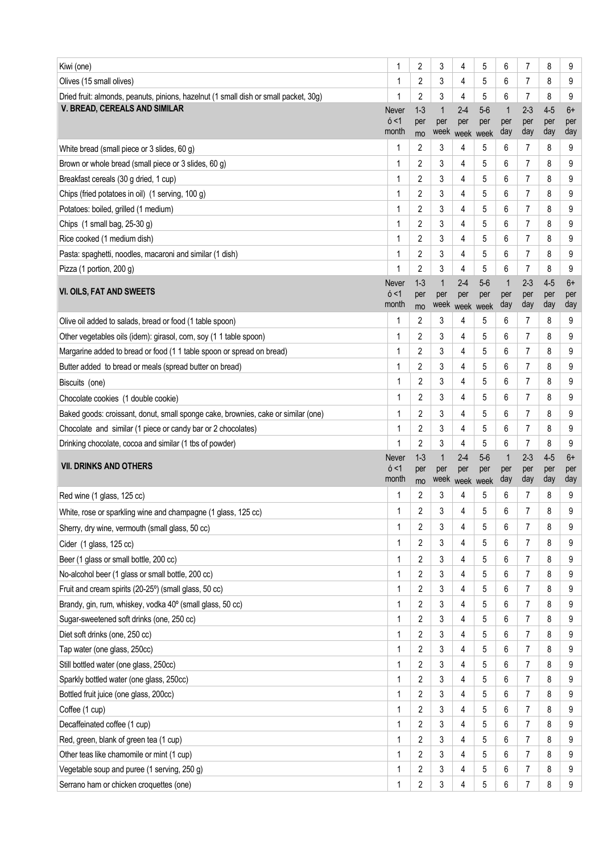| Kiwi (one)                                                                                                       | 1                       | $\overline{2}$       | 3                           | 4                                | 5                    | 6                          | 7                     | 8                     | 9                  |
|------------------------------------------------------------------------------------------------------------------|-------------------------|----------------------|-----------------------------|----------------------------------|----------------------|----------------------------|-----------------------|-----------------------|--------------------|
| Olives (15 small olives)                                                                                         | 1                       | 2                    | 3                           | 4                                | 5                    | 6                          | 7                     | 8                     | 9                  |
| Dried fruit: almonds, peanuts, pinions, hazelnut (1 small dish or small packet, 30g)                             | 1                       | 2                    | 3                           | 4                                | 5                    | 6                          | $\overline{7}$        | 8                     | 9                  |
| V. BREAD, CEREALS AND SIMILAR                                                                                    | Never<br>6 < 1<br>month | $1-3$<br>per<br>mo   | $\mathbf{1}$<br>per         | $2 - 4$<br>per<br>week week week | $5-6$<br>per         | $\mathbf{1}$<br>per<br>day | $2 - 3$<br>per<br>day | $4-5$<br>per<br>day   | $6+$<br>per<br>day |
| White bread (small piece or 3 slides, 60 g)                                                                      | 1                       | 2                    | 3                           | 4                                | 5                    | 6                          | 7                     | 8                     | 9                  |
| Brown or whole bread (small piece or 3 slides, 60 g)                                                             | 1                       | 2                    | 3                           | 4                                | 5                    | 6                          | 7                     | 8                     | 9                  |
| Breakfast cereals (30 g dried, 1 cup)                                                                            | 1                       | 2                    | 3                           | 4                                | 5                    | 6                          | 7                     | 8                     | 9                  |
| Chips (fried potatoes in oil) (1 serving, 100 g)                                                                 | 1                       | $\overline{2}$       | 3                           | 4                                | 5                    | 6                          | 7                     | 8                     | 9                  |
| Potatoes: boiled, grilled (1 medium)                                                                             | 1                       | 2                    | 3                           | 4                                | 5                    | 6                          | 7                     | 8                     | 9                  |
| Chips (1 small bag, 25-30 g)                                                                                     | 1                       | 2                    | 3                           | 4                                | 5                    | 6                          | $\overline{7}$        | 8                     | 9                  |
| Rice cooked (1 medium dish)                                                                                      | 1                       | 2                    | 3                           | 4                                | 5                    | 6                          | 7                     | 8                     | 9                  |
| Pasta: spaghetti, noodles, macaroni and similar (1 dish)                                                         | 1                       | 2                    | 3                           | 4                                | 5                    | 6                          | 7                     | 8                     | 9                  |
| Pizza (1 portion, 200 g)                                                                                         |                         | 2                    | 3                           | 4                                | 5                    | 6                          | 7                     | 8                     | 9                  |
| VI. OILS, FAT AND SWEETS                                                                                         | Never<br>6 < 1<br>month | $1-3$<br>per<br>mo   | $\mathbf{1}$<br>per<br>week | $2 - 4$<br>per<br>week           | $5-6$<br>per<br>week | $\mathbf{1}$<br>per<br>day | $2 - 3$<br>per<br>day | $4-5$<br>per<br>day   | $6+$<br>per<br>day |
| Olive oil added to salads, bread or food (1 table spoon)                                                         | 1                       | $\overline{c}$       | 3                           | 4                                | 5                    | 6                          | 7                     | 8                     | 9                  |
| Other vegetables oils (idem): girasol, corn, soy (1 1 table spoon)                                               | 1                       | 2                    | 3                           | 4                                | 5                    | 6                          | 7                     | 8                     | 9                  |
| Margarine added to bread or food (1 1 table spoon or spread on bread)                                            | 1                       | 2                    | 3                           | 4                                | 5                    | 6                          | $\overline{7}$        | 8                     | 9                  |
| Butter added to bread or meals (spread butter on bread)                                                          |                         | 2                    | 3                           | 4                                | 5                    | 6                          | 7                     | 8                     | 9                  |
| Biscuits (one)                                                                                                   | 1                       | 2                    | 3                           | 4                                | 5                    | 6                          | 7                     | 8                     | 9                  |
| Chocolate cookies (1 double cookie)                                                                              | 1                       | 2                    | 3                           | 4                                | 5                    | 6                          | 7                     | 8                     | 9                  |
| Baked goods: croissant, donut, small sponge cake, brownies, cake or similar (one)                                | 1                       | 2                    | 3                           | 4                                | 5                    | 6                          | 7                     | 8                     | 9                  |
| Chocolate and similar (1 piece or candy bar or 2 chocolates)                                                     | 1                       | 2                    | 3                           | 4                                | 5                    | 6                          | $\overline{7}$        | 8                     | 9                  |
|                                                                                                                  |                         |                      |                             |                                  |                      |                            |                       |                       |                    |
| Drinking chocolate, cocoa and similar (1 tbs of powder)                                                          | 1                       | 2                    | 3                           | 4                                | 5                    | 6                          | 7                     | 8                     | 9                  |
| <b>VII. DRINKS AND OTHERS</b>                                                                                    | Never<br>6 < 1<br>month | $1 - 3$<br>per<br>mo | 1<br>per                    | $2 - 4$<br>per                   | $5-6$<br>per         | $\mathbf{1}$<br>per<br>day | $2 - 3$<br>per<br>day | $4 - 5$<br>per<br>day | $6+$<br>per<br>day |
|                                                                                                                  | 1                       | 2                    | 3                           | week week week<br>4              | 5                    | 6                          | 7                     | 8                     | 9                  |
| Red wine (1 glass, 125 cc)                                                                                       | 1                       | 2                    | 3                           | 4                                | 5                    | 6                          | 7                     | 8                     | 9                  |
| White, rose or sparkling wine and champagne (1 glass, 125 cc)<br>Sherry, dry wine, vermouth (small glass, 50 cc) | $\mathbf{1}$            | 2                    | 3                           | 4                                | 5                    | 6                          | 7                     | 8                     | 9                  |
| Cider (1 glass, 125 cc)                                                                                          | 1                       | 2                    | 3                           | 4                                | 5                    | 6                          | 7                     | 8                     | 9                  |
| Beer (1 glass or small bottle, 200 cc)                                                                           | 1                       | 2                    | 3                           | 4                                | 5                    | 6                          | 7                     | 8                     | 9                  |
| No-alcohol beer (1 glass or small bottle, 200 cc)                                                                | 1                       | 2                    | 3                           | 4                                | 5                    | 6                          | 7                     | 8                     | 9                  |
| Fruit and cream spirits (20-25°) (small glass, 50 cc)                                                            | 1                       | 2                    | 3                           | 4                                | 5                    | 6                          | 7                     | 8                     | 9                  |
| Brandy, gin, rum, whiskey, vodka 40° (small glass, 50 cc)                                                        | 1                       | 2                    | 3                           | 4                                | 5                    | 6                          | 7                     | 8                     | 9                  |
| Sugar-sweetened soft drinks (one, 250 cc)                                                                        | 1                       | 2                    | 3                           | 4                                | 5                    | 6                          | $\overline{7}$        | 8                     | 9                  |
| Diet soft drinks (one, 250 cc)                                                                                   | 1                       | 2                    | 3                           | 4                                | 5                    | 6                          | 7                     | 8                     | 9                  |
| Tap water (one glass, 250cc)                                                                                     | 1                       | 2                    | 3                           | 4                                | 5                    | 6                          | $\overline{7}$        | 8                     | 9                  |
| Still bottled water (one glass, 250cc)                                                                           | 1                       | 2                    | 3                           | 4                                | 5                    | 6                          | 7                     | 8                     | 9                  |
| Sparkly bottled water (one glass, 250cc)                                                                         | 1                       | 2                    | 3                           | 4                                | 5                    | 6                          | $\overline{7}$        | 8                     | 9                  |
| Bottled fruit juice (one glass, 200cc)                                                                           | 1                       | 2                    | 3                           | 4                                | 5                    | 6                          | 7                     | 8                     | 9                  |
| Coffee (1 cup)                                                                                                   | 1                       | $\overline{2}$       | 3                           | 4                                | 5                    | 6                          | 7                     | 8                     | 9                  |
| Decaffeinated coffee (1 cup)                                                                                     | 1                       | 2                    | 3                           | 4                                | 5                    | 6                          | 7                     | 8                     | 9                  |
| Red, green, blank of green tea (1 cup)                                                                           | 1                       | 2                    | 3                           | 4                                | 5                    | 6                          | 7                     | 8                     | 9                  |
| Other teas like chamomile or mint (1 cup)                                                                        | 1                       | 2                    | 3                           | 4                                | 5                    | 6                          | 7                     | 8                     | 9                  |
| Vegetable soup and puree (1 serving, 250 g)                                                                      | 1                       | 2                    | 3                           | 4                                | 5                    | 6                          | $\overline{7}$        | 8                     | 9                  |